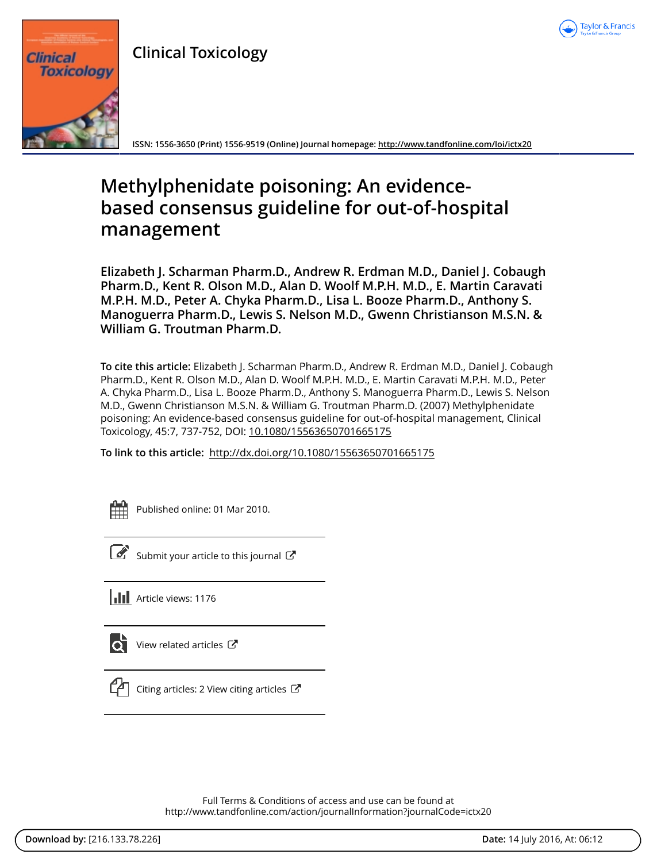

**Clinical Toxicology**



**ISSN: 1556-3650 (Print) 1556-9519 (Online) Journal homepage:<http://www.tandfonline.com/loi/ictx20>**

# **Methylphenidate poisoning: An evidencebased consensus guideline for out-of-hospital management**

**Elizabeth J. Scharman Pharm.D., Andrew R. Erdman M.D., Daniel J. Cobaugh Pharm.D., Kent R. Olson M.D., Alan D. Woolf M.P.H. M.D., E. Martin Caravati M.P.H. M.D., Peter A. Chyka Pharm.D., Lisa L. Booze Pharm.D., Anthony S. Manoguerra Pharm.D., Lewis S. Nelson M.D., Gwenn Christianson M.S.N. & William G. Troutman Pharm.D.**

**To cite this article:** Elizabeth J. Scharman Pharm.D., Andrew R. Erdman M.D., Daniel J. Cobaugh Pharm.D., Kent R. Olson M.D., Alan D. Woolf M.P.H. M.D., E. Martin Caravati M.P.H. M.D., Peter A. Chyka Pharm.D., Lisa L. Booze Pharm.D., Anthony S. Manoguerra Pharm.D., Lewis S. Nelson M.D., Gwenn Christianson M.S.N. & William G. Troutman Pharm.D. (2007) Methylphenidate poisoning: An evidence-based consensus guideline for out-of-hospital management, Clinical Toxicology, 45:7, 737-752, DOI: [10.1080/15563650701665175](http://www.tandfonline.com/action/showCitFormats?doi=10.1080/15563650701665175)

**To link to this article:** <http://dx.doi.org/10.1080/15563650701665175>

Published online: 01 Mar 2010.

[Submit your article to this journal](http://www.tandfonline.com/action/authorSubmission?journalCode=ictx20&page=instructions)  $\mathbb{Z}$ 

**Article views: 1176** 

[View related articles](http://www.tandfonline.com/doi/mlt/10.1080/15563650701665175)  $\mathbb{Z}$ 



[Citing articles: 2 View citing articles](http://www.tandfonline.com/doi/citedby/10.1080/15563650701665175#tabModule)  $\mathbb{Z}$ 

Full Terms & Conditions of access and use can be found at <http://www.tandfonline.com/action/journalInformation?journalCode=ictx20>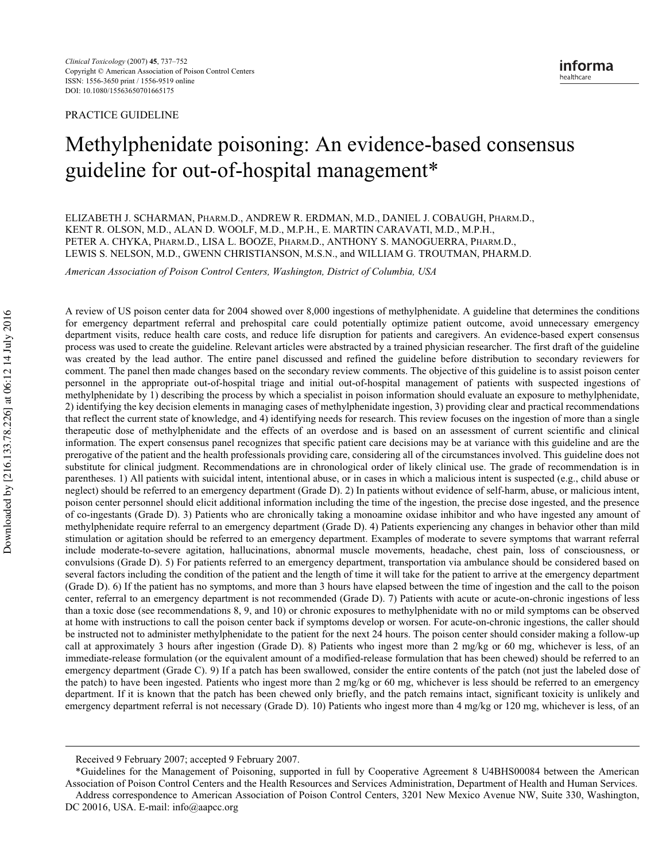PRACTICE GUIDELINE

# Methylphenidate poisoning: An evidence-based consensus guideline for out-of-hospital management\*

ELIZABETH J. SCHARMAN, PHARM.D., ANDREW R. ERDMAN, M.D., DANIEL J. COBAUGH, PHARM.D., KENT R. OLSON, M.D., ALAN D. WOOLF, M.D., M.P.H., E. MARTIN CARAVATI, M.D., M.P.H., PETER A. CHYKA, PHARM.D., LISA L. BOOZE, PHARM.D., ANTHONY S. MANOGUERRA, PHARM.D., LEWIS S. NELSON, M.D., GWENN CHRISTIANSON, M.S.N., and WILLIAM G. TROUTMAN, PHARM.D.

*American Association of Poison Control Centers, Washington, District of Columbia, USA*

A review of US poison center data for 2004 showed over 8,000 ingestions of methylphenidate. A guideline that determines the conditions for emergency department referral and prehospital care could potentially optimize patient outcome, avoid unnecessary emergency department visits, reduce health care costs, and reduce life disruption for patients and caregivers. An evidence-based expert consensus process was used to create the guideline. Relevant articles were abstracted by a trained physician researcher. The first draft of the guideline was created by the lead author. The entire panel discussed and refined the guideline before distribution to secondary reviewers for comment. The panel then made changes based on the secondary review comments. The objective of this guideline is to assist poison center personnel in the appropriate out-of-hospital triage and initial out-of-hospital management of patients with suspected ingestions of methylphenidate by 1) describing the process by which a specialist in poison information should evaluate an exposure to methylphenidate, 2) identifying the key decision elements in managing cases of methylphenidate ingestion, 3) providing clear and practical recommendations that reflect the current state of knowledge, and 4) identifying needs for research. This review focuses on the ingestion of more than a single therapeutic dose of methylphenidate and the effects of an overdose and is based on an assessment of current scientific and clinical information. The expert consensus panel recognizes that specific patient care decisions may be at variance with this guideline and are the prerogative of the patient and the health professionals providing care, considering all of the circumstances involved. This guideline does not substitute for clinical judgment. Recommendations are in chronological order of likely clinical use. The grade of recommendation is in parentheses. 1) All patients with suicidal intent, intentional abuse, or in cases in which a malicious intent is suspected (e.g., child abuse or neglect) should be referred to an emergency department (Grade D). 2) In patients without evidence of self-harm, abuse, or malicious intent, poison center personnel should elicit additional information including the time of the ingestion, the precise dose ingested, and the presence of co-ingestants (Grade D). 3) Patients who are chronically taking a monoamine oxidase inhibitor and who have ingested any amount of methylphenidate require referral to an emergency department (Grade D). 4) Patients experiencing any changes in behavior other than mild stimulation or agitation should be referred to an emergency department. Examples of moderate to severe symptoms that warrant referral include moderate-to-severe agitation, hallucinations, abnormal muscle movements, headache, chest pain, loss of consciousness, or convulsions (Grade D). 5) For patients referred to an emergency department, transportation via ambulance should be considered based on several factors including the condition of the patient and the length of time it will take for the patient to arrive at the emergency department (Grade D). 6) If the patient has no symptoms, and more than 3 hours have elapsed between the time of ingestion and the call to the poison center, referral to an emergency department is not recommended (Grade D). 7) Patients with acute or acute-on-chronic ingestions of less than a toxic dose (see recommendations 8, 9, and 10) or chronic exposures to methylphenidate with no or mild symptoms can be observed at home with instructions to call the poison center back if symptoms develop or worsen. For acute-on-chronic ingestions, the caller should be instructed not to administer methylphenidate to the patient for the next 24 hours. The poison center should consider making a follow-up call at approximately 3 hours after ingestion (Grade D). 8) Patients who ingest more than 2 mg/kg or 60 mg, whichever is less, of an immediate-release formulation (or the equivalent amount of a modified-release formulation that has been chewed) should be referred to an emergency department (Grade C). 9) If a patch has been swallowed, consider the entire contents of the patch (not just the labeled dose of the patch) to have been ingested. Patients who ingest more than 2 mg/kg or 60 mg, whichever is less should be referred to an emergency department. If it is known that the patch has been chewed only briefly, and the patch remains intact, significant toxicity is unlikely and emergency department referral is not necessary (Grade D). 10) Patients who ingest more than 4 mg/kg or 120 mg, whichever is less, of an

\*Guidelines for the Management of Poisoning, supported in full by Cooperative Agreement 8 U4BHS00084 between the American Association of Poison Control Centers and the Health Resources and Services Administration, Department of Health and Human Services. Address correspondence to American Association of Poison Control Centers, 3201 New Mexico Avenue NW, Suite 330, Washington,

Received 9 February 2007; accepted 9 February 2007.

DC 20016, USA. E-mail: info@aapcc.org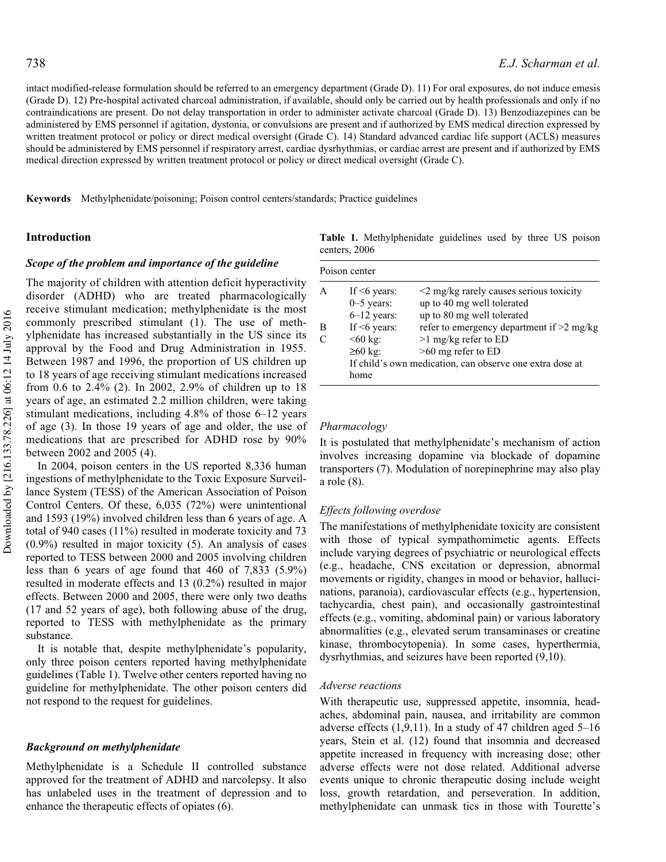intact modified-release formulation should be referred to an emergency department (Grade D). 11) For oral exposures, do not induce emesis (Grade D). 12) Pre-hospital activated charcoal administration, if available, should only be carried out by health professionals and only if no contraindications are present. Do not delay transportation in order to administer activate charcoal (Grade D). 13) Benzodiazepines can be administered by EMS personnel if agitation, dystonia, or convulsions are present and if authorized by EMS medical direction expressed by written treatment protocol or policy or direct medical oversight (Grade C). 14) Standard advanced cardiac life support (ACLS) measures should be administered by EMS personnel if respiratory arrest, cardiac dysrhythmias, or cardiac arrest are present and if authorized by EMS medical direction expressed by written treatment protocol or policy or direct medical oversight (Grade C).

**Keywords** Methylphenidate/poisoning; Poison control centers/standards; Practice guidelines

# **Introduction**

#### *Scope of the problem and importance of the guideline*

The majority of children with attention deficit hyperactivity disorder (ADHD) who are treated pharmacologically receive stimulant medication; methylphenidate is the most commonly prescribed stimulant (1). The use of methylphenidate has increased substantially in the US since its approval by the Food and Drug Administration in 1955. Between 1987 and 1996, the proportion of US children up to 18 years of age receiving stimulant medications increased from 0.6 to 2.4% (2). In 2002, 2.9% of children up to 18 years of age, an estimated 2.2 million children, were taking stimulant medications, including 4.8% of those 6–12 years of age (3). In those 19 years of age and older, the use of medications that are prescribed for ADHD rose by 90% between 2002 and 2005 (4).

In 2004, poison centers in the US reported 8,336 human ingestions of methylphenidate to the Toxic Exposure Surveillance System (TESS) of the American Association of Poison Control Centers. Of these, 6,035 (72%) were unintentional and 1593 (19%) involved children less than 6 years of age. A total of 940 cases (11%) resulted in moderate toxicity and 73 (0.9%) resulted in major toxicity (5). An analysis of cases reported to TESS between 2000 and 2005 involving children less than 6 years of age found that 460 of 7,833 (5.9%) resulted in moderate effects and 13 (0.2%) resulted in major effects. Between 2000 and 2005, there were only two deaths (17 and 52 years of age), both following abuse of the drug, reported to TESS with methylphenidate as the primary substance.

It is notable that, despite methylphenidate's popularity, only three poison centers reported having methylphenidate guidelines (Table 1). Twelve other centers reported having no guideline for methylphenidate. The other poison centers did not respond to the request for guidelines.

# *Background on methylphenidate*

Methylphenidate is a Schedule II controlled substance approved for the treatment of ADHD and narcolepsy. It also has unlabeled uses in the treatment of depression and to enhance the therapeutic effects of opiates (6).

**Table 1.** Methylphenidate guidelines used by three US poison centers, 2006

|   | Poison center      |                                                          |
|---|--------------------|----------------------------------------------------------|
| A | If $\leq 6$ years: | $\leq$ 2 mg/kg rarely causes serious toxicity            |
|   | $0-5$ years:       | up to 40 mg well tolerated                               |
|   | $6-12$ years:      | up to 80 mg well tolerated                               |
| B | If $\leq 6$ years: | refer to emergency department if $>2$ mg/kg              |
|   | $<60$ kg:          | $>1$ mg/kg refer to ED                                   |
|   | $≥60$ kg:          | $>60$ mg refer to ED                                     |
|   |                    | If child's own medication, can observe one extra dose at |
|   | home               |                                                          |
|   |                    |                                                          |

#### *Pharmacology*

It is postulated that methylphenidate's mechanism of action involves increasing dopamine via blockade of dopamine transporters (7). Modulation of norepinephrine may also play a role (8).

#### *Effects following overdose*

The manifestations of methylphenidate toxicity are consistent with those of typical sympathomimetic agents. Effects include varying degrees of psychiatric or neurological effects (e.g., headache, CNS excitation or depression, abnormal movements or rigidity, changes in mood or behavior, hallucinations, paranoia), cardiovascular effects (e.g., hypertension, tachycardia, chest pain), and occasionally gastrointestinal effects (e.g., vomiting, abdominal pain) or various laboratory abnormalities (e.g., elevated serum transaminases or creatine kinase, thrombocytopenia). In some cases, hyperthermia, dysrhythmias, and seizures have been reported (9,10).

#### *Adverse reactions*

With therapeutic use, suppressed appetite, insomnia, headaches, abdominal pain, nausea, and irritability are common adverse effects  $(1,9,11)$ . In a study of 47 children aged 5–16 years, Stein et al. (12) found that insomnia and decreased appetite increased in frequency with increasing dose; other adverse effects were not dose related. Additional adverse events unique to chronic therapeutic dosing include weight loss, growth retardation, and perseveration. In addition, methylphenidate can unmask tics in those with Tourette's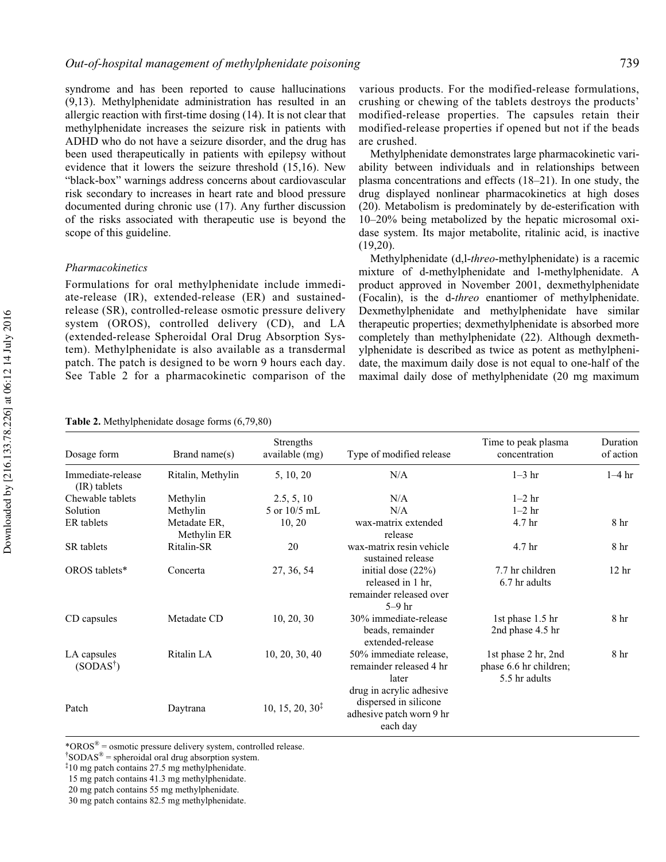syndrome and has been reported to cause hallucinations (9,13). Methylphenidate administration has resulted in an allergic reaction with first-time dosing (14). It is not clear that methylphenidate increases the seizure risk in patients with ADHD who do not have a seizure disorder, and the drug has been used therapeutically in patients with epilepsy without evidence that it lowers the seizure threshold (15,16). New "black-box" warnings address concerns about cardiovascular risk secondary to increases in heart rate and blood pressure documented during chronic use (17). Any further discussion of the risks associated with therapeutic use is beyond the scope of this guideline.

# *Pharmacokinetics*

Formulations for oral methylphenidate include immediate-release (IR), extended-release (ER) and sustainedrelease (SR), controlled-release osmotic pressure delivery system (OROS), controlled delivery (CD), and LA (extended-release Spheroidal Oral Drug Absorption System). Methylphenidate is also available as a transdermal patch. The patch is designed to be worn 9 hours each day. See Table 2 for a pharmacokinetic comparison of the

various products. For the modified-release formulations, crushing or chewing of the tablets destroys the products' modified-release properties. The capsules retain their modified-release properties if opened but not if the beads are crushed.

Methylphenidate demonstrates large pharmacokinetic variability between individuals and in relationships between plasma concentrations and effects (18–21). In one study, the drug displayed nonlinear pharmacokinetics at high doses (20). Metabolism is predominately by de-esterification with 10–20% being metabolized by the hepatic microsomal oxidase system. Its major metabolite, ritalinic acid, is inactive (19,20).

Methylphenidate (d,l-*threo*-methylphenidate) is a racemic mixture of d-methylphenidate and l-methylphenidate. A product approved in November 2001, dexmethylphenidate (Focalin), is the d-*threo* enantiomer of methylphenidate. Dexmethylphenidate and methylphenidate have similar therapeutic properties; dexmethylphenidate is absorbed more completely than methylphenidate (22). Although dexmethylphenidate is described as twice as potent as methylphenidate, the maximum daily dose is not equal to one-half of the maximal daily dose of methylphenidate (20 mg maximum

#### **Table 2.** Methylphenidate dosage forms (6,79,80)

| Dosage form                        | Brand name $(s)$            | Strengths<br>available (mg) | Type of modified release                                                                  | Time to peak plasma<br>concentration                           | Duration<br>of action |
|------------------------------------|-----------------------------|-----------------------------|-------------------------------------------------------------------------------------------|----------------------------------------------------------------|-----------------------|
| Immediate-release<br>(IR) tablets  | Ritalin, Methylin           | 5, 10, 20                   | N/A                                                                                       | $1-3$ hr                                                       | $1-4$ hr              |
| Chewable tablets                   | Methylin                    | 2.5, 5, 10                  | N/A                                                                                       | $1-2$ hr                                                       |                       |
| Solution                           | Methylin                    | 5 or 10/5 mL                | N/A                                                                                       | $1-2$ hr                                                       |                       |
| ER tablets                         | Metadate ER.<br>Methylin ER | 10, 20                      | wax-matrix extended<br>release                                                            | 4.7 <sub>hr</sub>                                              | 8 hr                  |
| SR tablets                         | Ritalin-SR                  | 20                          | wax-matrix resin vehicle<br>sustained release                                             | 4.7 hr                                                         | 8 hr                  |
| OROS tablets*                      | Concerta                    | 27, 36, 54                  | initial dose $(22%)$<br>released in 1 hr.<br>remainder released over<br>$5-9$ hr          | 7.7 hr children<br>6.7 hr adults                               | 12 <sup>hr</sup>      |
| CD capsules                        | Metadate CD                 | 10, 20, 30                  | 30% immediate-release<br>beads, remainder<br>extended-release                             | 1st phase 1.5 hr<br>2nd phase 4.5 hr                           | 8 hr                  |
| LA capsules<br>$(SODAS^{\dagger})$ | Ritalin LA                  | 10, 20, 30, 40              | 50% immediate release,<br>remainder released 4 hr<br>later                                | 1st phase 2 hr, 2nd<br>phase 6.6 hr children;<br>5.5 hr adults | 8 hr                  |
| Patch                              | Daytrana                    | $10, 15, 20, 30^{\ddagger}$ | drug in acrylic adhesive<br>dispersed in silicone<br>adhesive patch worn 9 hr<br>each day |                                                                |                       |

\*OROS® = osmotic pressure delivery system, controlled release.

<sup>†</sup>SODAS<sup>®</sup> = spheroidal oral drug absorption system.

<sup>‡</sup> 10 mg patch contains 27.5 mg methylphenidate.

<sup>15</sup> mg patch contains 41.3 mg methylphenidate.

<sup>20</sup> mg patch contains 55 mg methylphenidate.

<sup>30</sup> mg patch contains 82.5 mg methylphenidate.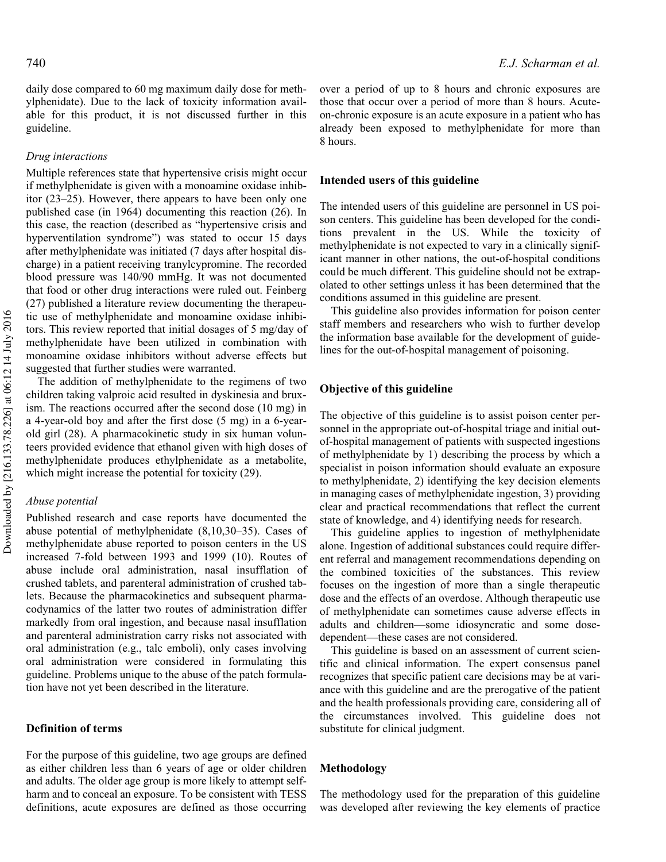daily dose compared to 60 mg maximum daily dose for methylphenidate). Due to the lack of toxicity information available for this product, it is not discussed further in this guideline.

#### *Drug interactions*

Multiple references state that hypertensive crisis might occur if methylphenidate is given with a monoamine oxidase inhibitor (23–25). However, there appears to have been only one published case (in 1964) documenting this reaction (26). In this case, the reaction (described as "hypertensive crisis and hyperventilation syndrome") was stated to occur 15 days after methylphenidate was initiated (7 days after hospital discharge) in a patient receiving tranylcypromine. The recorded blood pressure was 140/90 mmHg. It was not documented that food or other drug interactions were ruled out. Feinberg (27) published a literature review documenting the therapeutic use of methylphenidate and monoamine oxidase inhibitors. This review reported that initial dosages of 5 mg/day of methylphenidate have been utilized in combination with monoamine oxidase inhibitors without adverse effects but suggested that further studies were warranted.

The addition of methylphenidate to the regimens of two children taking valproic acid resulted in dyskinesia and bruxism. The reactions occurred after the second dose (10 mg) in a 4-year-old boy and after the first dose (5 mg) in a 6-yearold girl (28). A pharmacokinetic study in six human volunteers provided evidence that ethanol given with high doses of methylphenidate produces ethylphenidate as a metabolite, which might increase the potential for toxicity (29).

#### *Abuse potential*

Published research and case reports have documented the abuse potential of methylphenidate (8,10,30–35). Cases of methylphenidate abuse reported to poison centers in the US increased 7-fold between 1993 and 1999 (10). Routes of abuse include oral administration, nasal insufflation of crushed tablets, and parenteral administration of crushed tablets. Because the pharmacokinetics and subsequent pharmacodynamics of the latter two routes of administration differ markedly from oral ingestion, and because nasal insufflation and parenteral administration carry risks not associated with oral administration (e.g., talc emboli), only cases involving oral administration were considered in formulating this guideline. Problems unique to the abuse of the patch formulation have not yet been described in the literature.

#### **Definition of terms**

For the purpose of this guideline, two age groups are defined as either children less than 6 years of age or older children and adults. The older age group is more likely to attempt selfharm and to conceal an exposure. To be consistent with TESS definitions, acute exposures are defined as those occurring

over a period of up to 8 hours and chronic exposures are those that occur over a period of more than 8 hours. Acuteon-chronic exposure is an acute exposure in a patient who has already been exposed to methylphenidate for more than 8 hours.

# **Intended users of this guideline**

The intended users of this guideline are personnel in US poison centers. This guideline has been developed for the conditions prevalent in the US. While the toxicity of methylphenidate is not expected to vary in a clinically significant manner in other nations, the out-of-hospital conditions could be much different. This guideline should not be extrapolated to other settings unless it has been determined that the conditions assumed in this guideline are present.

This guideline also provides information for poison center staff members and researchers who wish to further develop the information base available for the development of guidelines for the out-of-hospital management of poisoning.

# **Objective of this guideline**

The objective of this guideline is to assist poison center personnel in the appropriate out-of-hospital triage and initial outof-hospital management of patients with suspected ingestions of methylphenidate by 1) describing the process by which a specialist in poison information should evaluate an exposure to methylphenidate, 2) identifying the key decision elements in managing cases of methylphenidate ingestion, 3) providing clear and practical recommendations that reflect the current state of knowledge, and 4) identifying needs for research.

This guideline applies to ingestion of methylphenidate alone. Ingestion of additional substances could require different referral and management recommendations depending on the combined toxicities of the substances. This review focuses on the ingestion of more than a single therapeutic dose and the effects of an overdose. Although therapeutic use of methylphenidate can sometimes cause adverse effects in adults and children—some idiosyncratic and some dosedependent—these cases are not considered.

This guideline is based on an assessment of current scientific and clinical information. The expert consensus panel recognizes that specific patient care decisions may be at variance with this guideline and are the prerogative of the patient and the health professionals providing care, considering all of the circumstances involved. This guideline does not substitute for clinical judgment.

## **Methodology**

The methodology used for the preparation of this guideline was developed after reviewing the key elements of practice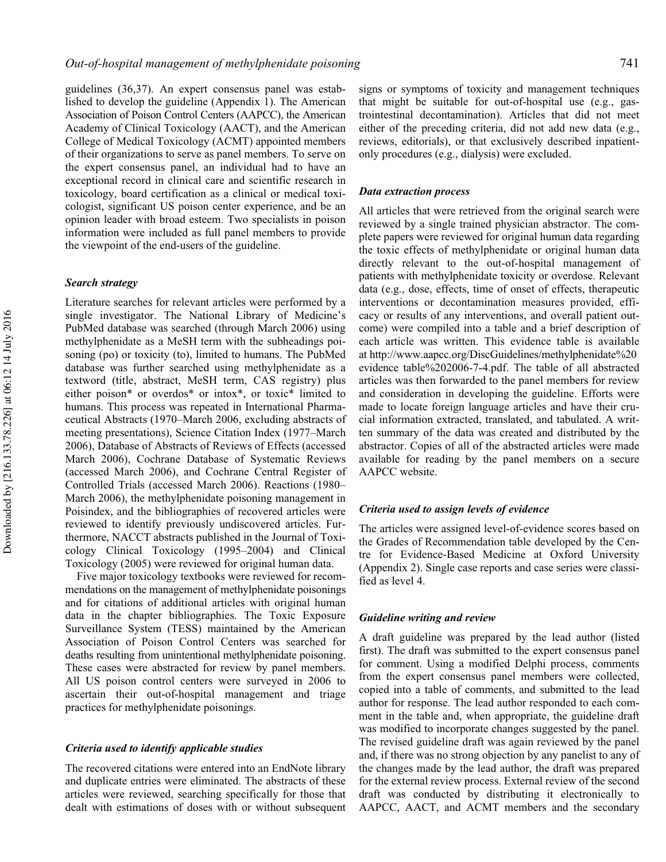guidelines (36,37). An expert consensus panel was established to develop the guideline (Appendix 1). The American Association of Poison Control Centers (AAPCC), the American Academy of Clinical Toxicology (AACT), and the American College of Medical Toxicology (ACMT) appointed members of their organizations to serve as panel members. To serve on the expert consensus panel, an individual had to have an exceptional record in clinical care and scientific research in toxicology, board certification as a clinical or medical toxicologist, significant US poison center experience, and be an opinion leader with broad esteem. Two specialists in poison information were included as full panel members to provide the viewpoint of the end-users of the guideline.

## *Search strategy*

Literature searches for relevant articles were performed by a single investigator. The National Library of Medicine's PubMed database was searched (through March 2006) using methylphenidate as a MeSH term with the subheadings poisoning (po) or toxicity (to), limited to humans. The PubMed database was further searched using methylphenidate as a textword (title, abstract, MeSH term, CAS registry) plus either poison\* or overdos\* or intox\*, or toxic\* limited to humans. This process was repeated in International Pharmaceutical Abstracts (1970–March 2006, excluding abstracts of meeting presentations), Science Citation Index (1977–March 2006), Database of Abstracts of Reviews of Effects (accessed March 2006), Cochrane Database of Systematic Reviews (accessed March 2006), and Cochrane Central Register of Controlled Trials (accessed March 2006). Reactions (1980– March 2006), the methylphenidate poisoning management in Poisindex, and the bibliographies of recovered articles were reviewed to identify previously undiscovered articles. Furthermore, NACCT abstracts published in the Journal of Toxicology Clinical Toxicology (1995–2004) and Clinical Toxicology (2005) were reviewed for original human data.

Five major toxicology textbooks were reviewed for recommendations on the management of methylphenidate poisonings and for citations of additional articles with original human data in the chapter bibliographies. The Toxic Exposure Surveillance System (TESS) maintained by the American Association of Poison Control Centers was searched for deaths resulting from unintentional methylphenidate poisoning. These cases were abstracted for review by panel members. All US poison control centers were surveyed in 2006 to ascertain their out-of-hospital management and triage practices for methylphenidate poisonings.

#### *Criteria used to identify applicable studies*

The recovered citations were entered into an EndNote library and duplicate entries were eliminated. The abstracts of these articles were reviewed, searching specifically for those that dealt with estimations of doses with or without subsequent signs or symptoms of toxicity and management techniques that might be suitable for out-of-hospital use (e.g., gastrointestinal decontamination). Articles that did not meet either of the preceding criteria, did not add new data (e.g., reviews, editorials), or that exclusively described inpatientonly procedures (e.g., dialysis) were excluded.

#### *Data extraction process*

All articles that were retrieved from the original search were reviewed by a single trained physician abstractor. The complete papers were reviewed for original human data regarding the toxic effects of methylphenidate or original human data directly relevant to the out-of-hospital management of patients with methylphenidate toxicity or overdose. Relevant data (e.g., dose, effects, time of onset of effects, therapeutic interventions or decontamination measures provided, efficacy or results of any interventions, and overall patient outcome) were compiled into a table and a brief description of each article was written. This evidence table is available at http://www.aapcc.org/DiscGuidelines/methylphenidate%20 evidence table%202006-7-4.pdf. The table of all abstracted articles was then forwarded to the panel members for review and consideration in developing the guideline. Efforts were made to locate foreign language articles and have their crucial information extracted, translated, and tabulated. A written summary of the data was created and distributed by the abstractor. Copies of all of the abstracted articles were made available for reading by the panel members on a secure AAPCC website.

#### *Criteria used to assign levels of evidence*

The articles were assigned level-of-evidence scores based on the Grades of Recommendation table developed by the Centre for Evidence-Based Medicine at Oxford University (Appendix 2). Single case reports and case series were classified as level 4.

#### *Guideline writing and review*

A draft guideline was prepared by the lead author (listed first). The draft was submitted to the expert consensus panel for comment. Using a modified Delphi process, comments from the expert consensus panel members were collected, copied into a table of comments, and submitted to the lead author for response. The lead author responded to each comment in the table and, when appropriate, the guideline draft was modified to incorporate changes suggested by the panel. The revised guideline draft was again reviewed by the panel and, if there was no strong objection by any panelist to any of the changes made by the lead author, the draft was prepared for the external review process. External review of the second draft was conducted by distributing it electronically to AAPCC, AACT, and ACMT members and the secondary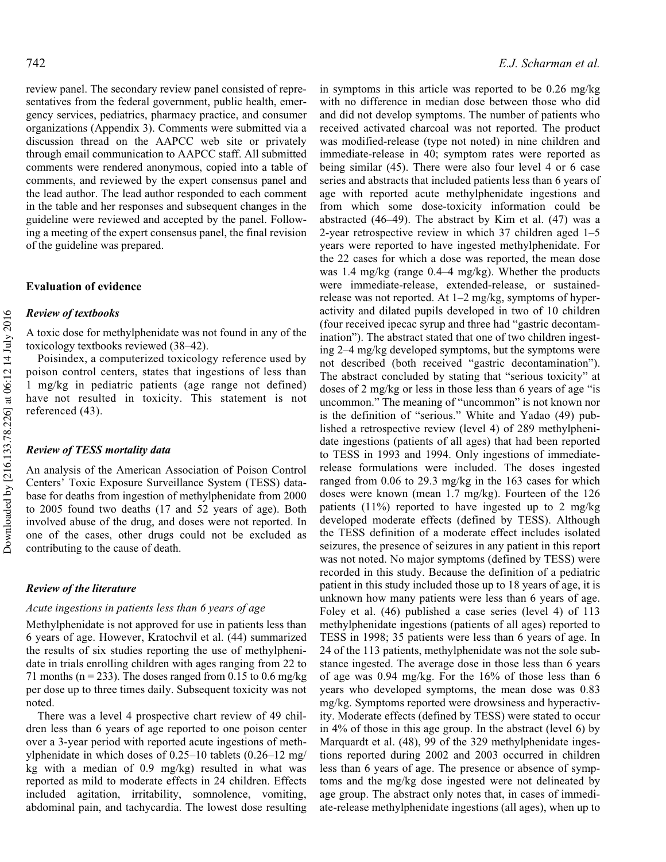review panel. The secondary review panel consisted of representatives from the federal government, public health, emergency services, pediatrics, pharmacy practice, and consumer organizations (Appendix 3). Comments were submitted via a discussion thread on the AAPCC web site or privately through email communication to AAPCC staff. All submitted comments were rendered anonymous, copied into a table of comments, and reviewed by the expert consensus panel and the lead author. The lead author responded to each comment in the table and her responses and subsequent changes in the guideline were reviewed and accepted by the panel. Following a meeting of the expert consensus panel, the final revision of the guideline was prepared.

#### **Evaluation of evidence**

#### *Review of textbooks*

A toxic dose for methylphenidate was not found in any of the toxicology textbooks reviewed (38–42).

Poisindex, a computerized toxicology reference used by poison control centers, states that ingestions of less than 1 mg/kg in pediatric patients (age range not defined) have not resulted in toxicity. This statement is not referenced (43).

### *Review of TESS mortality data*

An analysis of the American Association of Poison Control Centers' Toxic Exposure Surveillance System (TESS) database for deaths from ingestion of methylphenidate from 2000 to 2005 found two deaths (17 and 52 years of age). Both involved abuse of the drug, and doses were not reported. In one of the cases, other drugs could not be excluded as contributing to the cause of death.

#### *Review of the literature*

#### *Acute ingestions in patients less than 6 years of age*

Methylphenidate is not approved for use in patients less than 6 years of age. However, Kratochvil et al. (44) summarized the results of six studies reporting the use of methylphenidate in trials enrolling children with ages ranging from 22 to 71 months ( $n = 233$ ). The doses ranged from 0.15 to 0.6 mg/kg per dose up to three times daily. Subsequent toxicity was not noted.

There was a level 4 prospective chart review of 49 children less than 6 years of age reported to one poison center over a 3-year period with reported acute ingestions of methylphenidate in which doses of 0.25–10 tablets (0.26–12 mg/ kg with a median of 0.9 mg/kg) resulted in what was reported as mild to moderate effects in 24 children. Effects included agitation, irritability, somnolence, vomiting, abdominal pain, and tachycardia. The lowest dose resulting

in symptoms in this article was reported to be 0.26 mg/kg with no difference in median dose between those who did and did not develop symptoms. The number of patients who received activated charcoal was not reported. The product was modified-release (type not noted) in nine children and immediate-release in 40; symptom rates were reported as being similar (45). There were also four level 4 or 6 case series and abstracts that included patients less than 6 years of age with reported acute methylphenidate ingestions and from which some dose-toxicity information could be abstracted (46–49). The abstract by Kim et al. (47) was a 2-year retrospective review in which 37 children aged 1–5 years were reported to have ingested methylphenidate. For the 22 cases for which a dose was reported, the mean dose was 1.4 mg/kg (range 0.4–4 mg/kg). Whether the products were immediate-release, extended-release, or sustainedrelease was not reported. At 1–2 mg/kg, symptoms of hyperactivity and dilated pupils developed in two of 10 children (four received ipecac syrup and three had "gastric decontamination"). The abstract stated that one of two children ingesting 2–4 mg/kg developed symptoms, but the symptoms were not described (both received "gastric decontamination"). The abstract concluded by stating that "serious toxicity" at doses of 2 mg/kg or less in those less than 6 years of age "is uncommon." The meaning of "uncommon" is not known nor is the definition of "serious." White and Yadao (49) published a retrospective review (level 4) of 289 methylphenidate ingestions (patients of all ages) that had been reported to TESS in 1993 and 1994. Only ingestions of immediaterelease formulations were included. The doses ingested ranged from 0.06 to 29.3 mg/kg in the 163 cases for which doses were known (mean 1.7 mg/kg). Fourteen of the 126 patients (11%) reported to have ingested up to 2 mg/kg developed moderate effects (defined by TESS). Although the TESS definition of a moderate effect includes isolated seizures, the presence of seizures in any patient in this report was not noted. No major symptoms (defined by TESS) were recorded in this study. Because the definition of a pediatric patient in this study included those up to 18 years of age, it is unknown how many patients were less than 6 years of age. Foley et al. (46) published a case series (level 4) of 113 methylphenidate ingestions (patients of all ages) reported to TESS in 1998; 35 patients were less than 6 years of age. In 24 of the 113 patients, methylphenidate was not the sole substance ingested. The average dose in those less than 6 years of age was 0.94 mg/kg. For the 16% of those less than 6 years who developed symptoms, the mean dose was 0.83 mg/kg. Symptoms reported were drowsiness and hyperactivity. Moderate effects (defined by TESS) were stated to occur in 4% of those in this age group. In the abstract (level 6) by Marquardt et al. (48), 99 of the 329 methylphenidate ingestions reported during 2002 and 2003 occurred in children less than 6 years of age. The presence or absence of symptoms and the mg/kg dose ingested were not delineated by age group. The abstract only notes that, in cases of immediate-release methylphenidate ingestions (all ages), when up to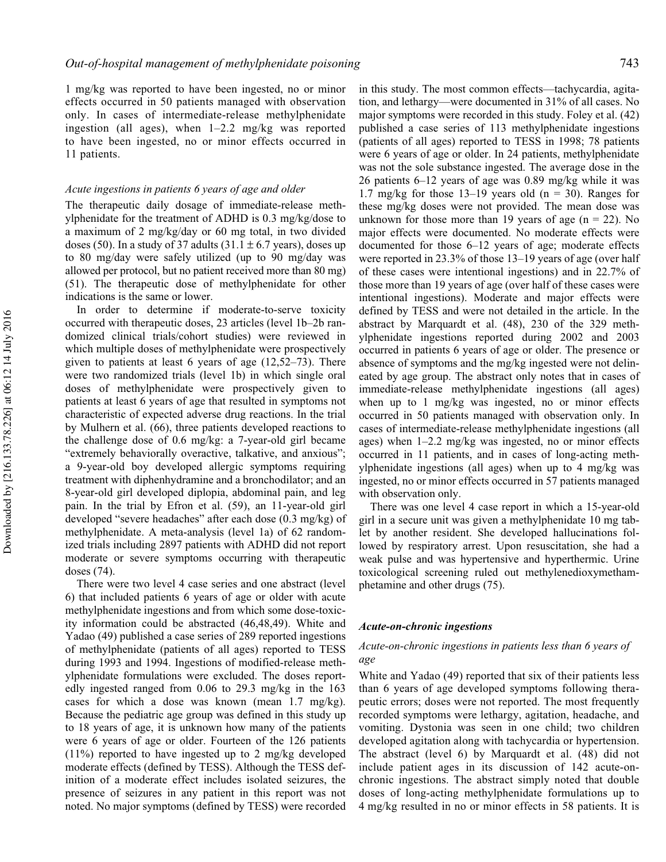1 mg/kg was reported to have been ingested, no or minor effects occurred in 50 patients managed with observation only. In cases of intermediate-release methylphenidate ingestion (all ages), when 1–2.2 mg/kg was reported to have been ingested, no or minor effects occurred in 11 patients.

#### *Acute ingestions in patients 6 years of age and older*

The therapeutic daily dosage of immediate-release methylphenidate for the treatment of ADHD is 0.3 mg/kg/dose to a maximum of 2 mg/kg/day or 60 mg total, in two divided doses (50). In a study of 37 adults (31.1  $\pm$  6.7 years), doses up to 80 mg/day were safely utilized (up to 90 mg/day was allowed per protocol, but no patient received more than 80 mg) (51). The therapeutic dose of methylphenidate for other indications is the same or lower.

In order to determine if moderate-to-serve toxicity occurred with therapeutic doses, 23 articles (level 1b–2b randomized clinical trials/cohort studies) were reviewed in which multiple doses of methylphenidate were prospectively given to patients at least 6 years of age (12,52–73). There were two randomized trials (level 1b) in which single oral doses of methylphenidate were prospectively given to patients at least 6 years of age that resulted in symptoms not characteristic of expected adverse drug reactions. In the trial by Mulhern et al. (66), three patients developed reactions to the challenge dose of 0.6 mg/kg: a 7-year-old girl became "extremely behaviorally overactive, talkative, and anxious"; a 9-year-old boy developed allergic symptoms requiring treatment with diphenhydramine and a bronchodilator; and an 8-year-old girl developed diplopia, abdominal pain, and leg pain. In the trial by Efron et al. (59), an 11-year-old girl developed "severe headaches" after each dose (0.3 mg/kg) of methylphenidate. A meta-analysis (level 1a) of 62 randomized trials including 2897 patients with ADHD did not report moderate or severe symptoms occurring with therapeutic doses (74).

There were two level 4 case series and one abstract (level 6) that included patients 6 years of age or older with acute methylphenidate ingestions and from which some dose-toxicity information could be abstracted (46,48,49). White and Yadao (49) published a case series of 289 reported ingestions of methylphenidate (patients of all ages) reported to TESS during 1993 and 1994. Ingestions of modified-release methylphenidate formulations were excluded. The doses reportedly ingested ranged from 0.06 to 29.3 mg/kg in the 163 cases for which a dose was known (mean 1.7 mg/kg). Because the pediatric age group was defined in this study up to 18 years of age, it is unknown how many of the patients were 6 years of age or older. Fourteen of the 126 patients (11%) reported to have ingested up to 2 mg/kg developed moderate effects (defined by TESS). Although the TESS definition of a moderate effect includes isolated seizures, the presence of seizures in any patient in this report was not noted. No major symptoms (defined by TESS) were recorded

in this study. The most common effects—tachycardia, agitation, and lethargy—were documented in 31% of all cases. No major symptoms were recorded in this study. Foley et al. (42) published a case series of 113 methylphenidate ingestions (patients of all ages) reported to TESS in 1998; 78 patients were 6 years of age or older. In 24 patients, methylphenidate was not the sole substance ingested. The average dose in the 26 patients 6–12 years of age was 0.89 mg/kg while it was 1.7 mg/kg for those 13–19 years old ( $n = 30$ ). Ranges for these mg/kg doses were not provided. The mean dose was unknown for those more than 19 years of age  $(n = 22)$ . No major effects were documented. No moderate effects were documented for those 6–12 years of age; moderate effects were reported in 23.3% of those 13–19 years of age (over half of these cases were intentional ingestions) and in 22.7% of those more than 19 years of age (over half of these cases were intentional ingestions). Moderate and major effects were defined by TESS and were not detailed in the article. In the abstract by Marquardt et al. (48), 230 of the 329 methylphenidate ingestions reported during 2002 and 2003 occurred in patients 6 years of age or older. The presence or absence of symptoms and the mg/kg ingested were not delineated by age group. The abstract only notes that in cases of immediate-release methylphenidate ingestions (all ages) when up to 1 mg/kg was ingested, no or minor effects occurred in 50 patients managed with observation only. In cases of intermediate-release methylphenidate ingestions (all ages) when 1–2.2 mg/kg was ingested, no or minor effects occurred in 11 patients, and in cases of long-acting methylphenidate ingestions (all ages) when up to 4 mg/kg was ingested, no or minor effects occurred in 57 patients managed with observation only.

There was one level 4 case report in which a 15-year-old girl in a secure unit was given a methylphenidate 10 mg tablet by another resident. She developed hallucinations followed by respiratory arrest. Upon resuscitation, she had a weak pulse and was hypertensive and hyperthermic. Urine toxicological screening ruled out methylenedioxymethamphetamine and other drugs (75).

#### *Acute-on-chronic ingestions*

# *Acute-on-chronic ingestions in patients less than 6 years of age*

White and Yadao (49) reported that six of their patients less than 6 years of age developed symptoms following therapeutic errors; doses were not reported. The most frequently recorded symptoms were lethargy, agitation, headache, and vomiting. Dystonia was seen in one child; two children developed agitation along with tachycardia or hypertension. The abstract (level 6) by Marquardt et al. (48) did not include patient ages in its discussion of 142 acute-onchronic ingestions. The abstract simply noted that double doses of long-acting methylphenidate formulations up to 4 mg/kg resulted in no or minor effects in 58 patients. It is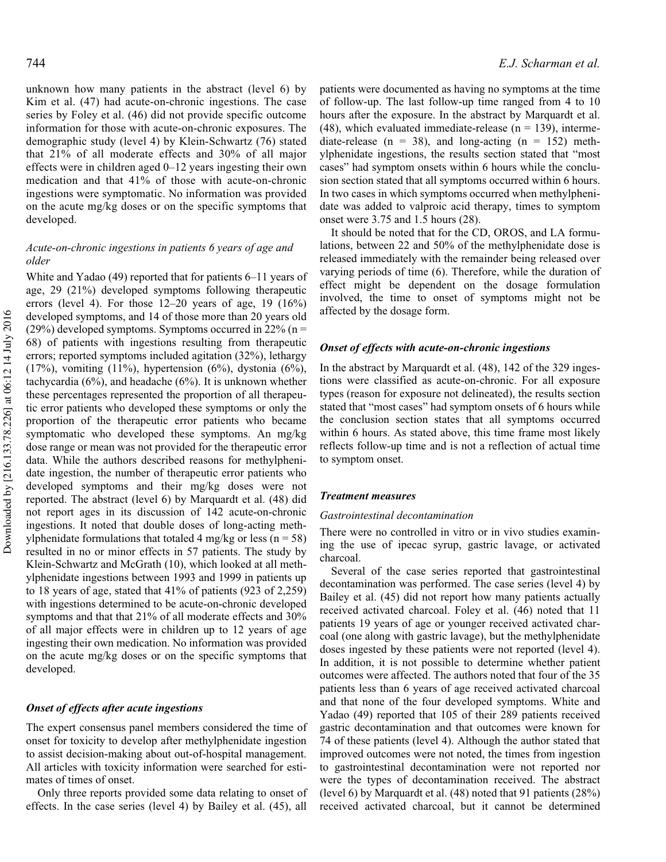unknown how many patients in the abstract (level 6) by Kim et al. (47) had acute-on-chronic ingestions. The case series by Foley et al. (46) did not provide specific outcome information for those with acute-on-chronic exposures. The demographic study (level 4) by Klein-Schwartz (76) stated that 21% of all moderate effects and 30% of all major effects were in children aged 0–12 years ingesting their own medication and that 41% of those with acute-on-chronic ingestions were symptomatic. No information was provided on the acute mg/kg doses or on the specific symptoms that developed.

# *Acute-on-chronic ingestions in patients 6 years of age and older*

White and Yadao (49) reported that for patients 6–11 years of age, 29 (21%) developed symptoms following therapeutic errors (level 4). For those  $12-20$  years of age,  $19$   $(16%)$ developed symptoms, and 14 of those more than 20 years old (29%) developed symptoms. Symptoms occurred in 22% ( $n =$ 68) of patients with ingestions resulting from therapeutic errors; reported symptoms included agitation (32%), lethargy (17%), vomiting (11%), hypertension (6%), dystonia (6%), tachycardia (6%), and headache (6%). It is unknown whether these percentages represented the proportion of all therapeutic error patients who developed these symptoms or only the proportion of the therapeutic error patients who became symptomatic who developed these symptoms. An mg/kg dose range or mean was not provided for the therapeutic error data. While the authors described reasons for methylphenidate ingestion, the number of therapeutic error patients who developed symptoms and their mg/kg doses were not reported. The abstract (level 6) by Marquardt et al. (48) did not report ages in its discussion of 142 acute-on-chronic ingestions. It noted that double doses of long-acting methylphenidate formulations that totaled 4 mg/kg or less ( $n = 58$ ) resulted in no or minor effects in 57 patients. The study by Klein-Schwartz and McGrath (10), which looked at all methylphenidate ingestions between 1993 and 1999 in patients up to 18 years of age, stated that 41% of patients (923 of 2,259) with ingestions determined to be acute-on-chronic developed symptoms and that that 21% of all moderate effects and 30% of all major effects were in children up to 12 years of age ingesting their own medication. No information was provided on the acute mg/kg doses or on the specific symptoms that developed.

#### *Onset of effects after acute ingestions*

The expert consensus panel members considered the time of onset for toxicity to develop after methylphenidate ingestion to assist decision-making about out-of-hospital management. All articles with toxicity information were searched for estimates of times of onset.

Only three reports provided some data relating to onset of effects. In the case series (level 4) by Bailey et al. (45), all

patients were documented as having no symptoms at the time of follow-up. The last follow-up time ranged from 4 to 10 hours after the exposure. In the abstract by Marquardt et al.  $(48)$ , which evaluated immediate-release  $(n = 139)$ , intermediate-release ( $n = 38$ ), and long-acting ( $n = 152$ ) methylphenidate ingestions, the results section stated that "most cases" had symptom onsets within 6 hours while the conclusion section stated that all symptoms occurred within 6 hours. In two cases in which symptoms occurred when methylphenidate was added to valproic acid therapy, times to symptom onset were 3.75 and 1.5 hours (28).

It should be noted that for the CD, OROS, and LA formulations, between 22 and 50% of the methylphenidate dose is released immediately with the remainder being released over varying periods of time (6). Therefore, while the duration of effect might be dependent on the dosage formulation involved, the time to onset of symptoms might not be affected by the dosage form.

#### *Onset of effects with acute-on-chronic ingestions*

In the abstract by Marquardt et al. (48), 142 of the 329 ingestions were classified as acute-on-chronic. For all exposure types (reason for exposure not delineated), the results section stated that "most cases" had symptom onsets of 6 hours while the conclusion section states that all symptoms occurred within 6 hours. As stated above, this time frame most likely reflects follow-up time and is not a reflection of actual time to symptom onset.

#### *Treatment measures*

#### *Gastrointestinal decontamination*

There were no controlled in vitro or in vivo studies examining the use of ipecac syrup, gastric lavage, or activated charcoal.

Several of the case series reported that gastrointestinal decontamination was performed. The case series (level 4) by Bailey et al. (45) did not report how many patients actually received activated charcoal. Foley et al. (46) noted that 11 patients 19 years of age or younger received activated charcoal (one along with gastric lavage), but the methylphenidate doses ingested by these patients were not reported (level 4). In addition, it is not possible to determine whether patient outcomes were affected. The authors noted that four of the 35 patients less than 6 years of age received activated charcoal and that none of the four developed symptoms. White and Yadao (49) reported that 105 of their 289 patients received gastric decontamination and that outcomes were known for 74 of these patients (level 4). Although the author stated that improved outcomes were not noted, the times from ingestion to gastrointestinal decontamination were not reported nor were the types of decontamination received. The abstract (level 6) by Marquardt et al. (48) noted that 91 patients (28%) received activated charcoal, but it cannot be determined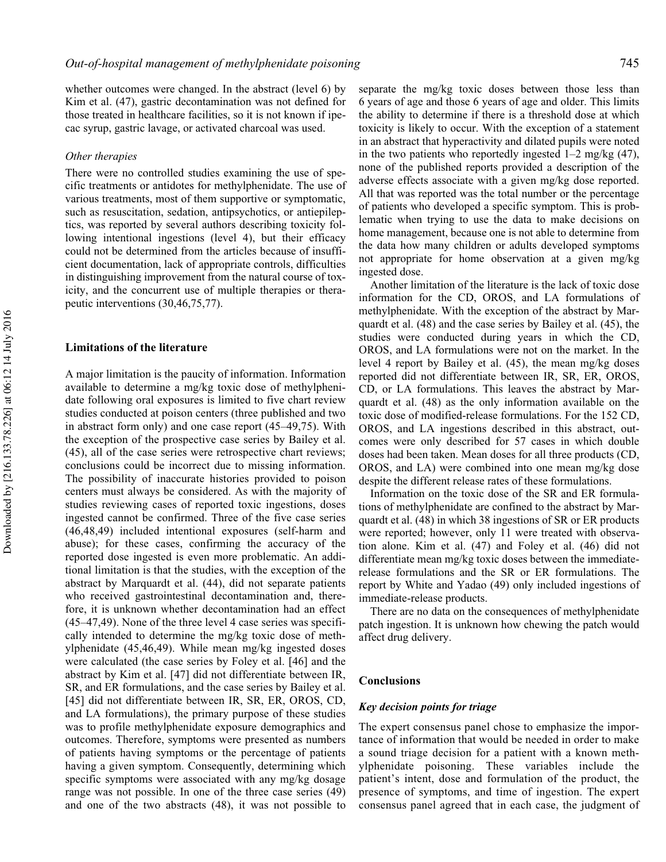whether outcomes were changed. In the abstract (level 6) by Kim et al. (47), gastric decontamination was not defined for those treated in healthcare facilities, so it is not known if ipecac syrup, gastric lavage, or activated charcoal was used.

#### *Other therapies*

There were no controlled studies examining the use of specific treatments or antidotes for methylphenidate. The use of various treatments, most of them supportive or symptomatic, such as resuscitation, sedation, antipsychotics, or antiepileptics, was reported by several authors describing toxicity following intentional ingestions (level 4), but their efficacy could not be determined from the articles because of insufficient documentation, lack of appropriate controls, difficulties in distinguishing improvement from the natural course of toxicity, and the concurrent use of multiple therapies or therapeutic interventions (30,46,75,77).

# **Limitations of the literature**

A major limitation is the paucity of information. Information available to determine a mg/kg toxic dose of methylphenidate following oral exposures is limited to five chart review studies conducted at poison centers (three published and two in abstract form only) and one case report (45–49,75). With the exception of the prospective case series by Bailey et al. (45), all of the case series were retrospective chart reviews; conclusions could be incorrect due to missing information. The possibility of inaccurate histories provided to poison centers must always be considered. As with the majority of studies reviewing cases of reported toxic ingestions, doses ingested cannot be confirmed. Three of the five case series (46,48,49) included intentional exposures (self-harm and abuse); for these cases, confirming the accuracy of the reported dose ingested is even more problematic. An additional limitation is that the studies, with the exception of the abstract by Marquardt et al. (44), did not separate patients who received gastrointestinal decontamination and, therefore, it is unknown whether decontamination had an effect (45–47,49). None of the three level 4 case series was specifically intended to determine the mg/kg toxic dose of methylphenidate (45,46,49). While mean mg/kg ingested doses were calculated (the case series by Foley et al. [46] and the abstract by Kim et al. [47] did not differentiate between IR, SR, and ER formulations, and the case series by Bailey et al. [45] did not differentiate between IR, SR, ER, OROS, CD, and LA formulations), the primary purpose of these studies was to profile methylphenidate exposure demographics and outcomes. Therefore, symptoms were presented as numbers of patients having symptoms or the percentage of patients having a given symptom. Consequently, determining which specific symptoms were associated with any mg/kg dosage range was not possible. In one of the three case series (49) and one of the two abstracts (48), it was not possible to

separate the mg/kg toxic doses between those less than 6 years of age and those 6 years of age and older. This limits the ability to determine if there is a threshold dose at which toxicity is likely to occur. With the exception of a statement in an abstract that hyperactivity and dilated pupils were noted in the two patients who reportedly ingested 1–2 mg/kg (47), none of the published reports provided a description of the adverse effects associate with a given mg/kg dose reported. All that was reported was the total number or the percentage of patients who developed a specific symptom. This is problematic when trying to use the data to make decisions on home management, because one is not able to determine from the data how many children or adults developed symptoms not appropriate for home observation at a given mg/kg ingested dose.

Another limitation of the literature is the lack of toxic dose information for the CD, OROS, and LA formulations of methylphenidate. With the exception of the abstract by Marquardt et al. (48) and the case series by Bailey et al. (45), the studies were conducted during years in which the CD, OROS, and LA formulations were not on the market. In the level 4 report by Bailey et al. (45), the mean mg/kg doses reported did not differentiate between IR, SR, ER, OROS, CD, or LA formulations. This leaves the abstract by Marquardt et al. (48) as the only information available on the toxic dose of modified-release formulations. For the 152 CD, OROS, and LA ingestions described in this abstract, outcomes were only described for 57 cases in which double doses had been taken. Mean doses for all three products (CD, OROS, and LA) were combined into one mean mg/kg dose despite the different release rates of these formulations.

Information on the toxic dose of the SR and ER formulations of methylphenidate are confined to the abstract by Marquardt et al. (48) in which 38 ingestions of SR or ER products were reported; however, only 11 were treated with observation alone. Kim et al. (47) and Foley et al. (46) did not differentiate mean mg/kg toxic doses between the immediaterelease formulations and the SR or ER formulations. The report by White and Yadao (49) only included ingestions of immediate-release products.

There are no data on the consequences of methylphenidate patch ingestion. It is unknown how chewing the patch would affect drug delivery.

# **Conclusions**

#### *Key decision points for triage*

The expert consensus panel chose to emphasize the importance of information that would be needed in order to make a sound triage decision for a patient with a known methylphenidate poisoning. These variables include the patient's intent, dose and formulation of the product, the presence of symptoms, and time of ingestion. The expert consensus panel agreed that in each case, the judgment of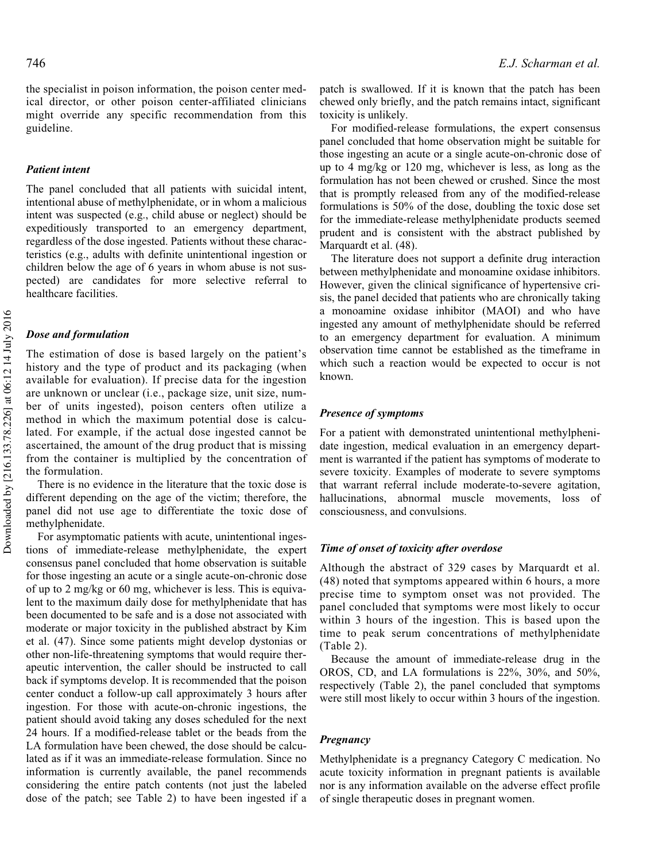the specialist in poison information, the poison center medical director, or other poison center-affiliated clinicians might override any specific recommendation from this guideline.

#### *Patient intent*

The panel concluded that all patients with suicidal intent, intentional abuse of methylphenidate, or in whom a malicious intent was suspected (e.g., child abuse or neglect) should be expeditiously transported to an emergency department, regardless of the dose ingested. Patients without these characteristics (e.g., adults with definite unintentional ingestion or children below the age of 6 years in whom abuse is not suspected) are candidates for more selective referral to healthcare facilities.

# *Dose and formulation*

The estimation of dose is based largely on the patient's history and the type of product and its packaging (when available for evaluation). If precise data for the ingestion are unknown or unclear (i.e., package size, unit size, number of units ingested), poison centers often utilize a method in which the maximum potential dose is calculated. For example, if the actual dose ingested cannot be ascertained, the amount of the drug product that is missing from the container is multiplied by the concentration of the formulation.

There is no evidence in the literature that the toxic dose is different depending on the age of the victim; therefore, the panel did not use age to differentiate the toxic dose of methylphenidate.

For asymptomatic patients with acute, unintentional ingestions of immediate-release methylphenidate, the expert consensus panel concluded that home observation is suitable for those ingesting an acute or a single acute-on-chronic dose of up to 2 mg/kg or 60 mg, whichever is less. This is equivalent to the maximum daily dose for methylphenidate that has been documented to be safe and is a dose not associated with moderate or major toxicity in the published abstract by Kim et al. (47). Since some patients might develop dystonias or other non-life-threatening symptoms that would require therapeutic intervention, the caller should be instructed to call back if symptoms develop. It is recommended that the poison center conduct a follow-up call approximately 3 hours after ingestion. For those with acute-on-chronic ingestions, the patient should avoid taking any doses scheduled for the next 24 hours. If a modified-release tablet or the beads from the LA formulation have been chewed, the dose should be calculated as if it was an immediate-release formulation. Since no information is currently available, the panel recommends considering the entire patch contents (not just the labeled dose of the patch; see Table 2) to have been ingested if a

patch is swallowed. If it is known that the patch has been chewed only briefly, and the patch remains intact, significant toxicity is unlikely.

For modified-release formulations, the expert consensus panel concluded that home observation might be suitable for those ingesting an acute or a single acute-on-chronic dose of up to 4 mg/kg or 120 mg, whichever is less, as long as the formulation has not been chewed or crushed. Since the most that is promptly released from any of the modified-release formulations is 50% of the dose, doubling the toxic dose set for the immediate-release methylphenidate products seemed prudent and is consistent with the abstract published by Marquardt et al. (48).

The literature does not support a definite drug interaction between methylphenidate and monoamine oxidase inhibitors. However, given the clinical significance of hypertensive crisis, the panel decided that patients who are chronically taking a monoamine oxidase inhibitor (MAOI) and who have ingested any amount of methylphenidate should be referred to an emergency department for evaluation. A minimum observation time cannot be established as the timeframe in which such a reaction would be expected to occur is not known.

#### *Presence of symptoms*

For a patient with demonstrated unintentional methylphenidate ingestion, medical evaluation in an emergency department is warranted if the patient has symptoms of moderate to severe toxicity. Examples of moderate to severe symptoms that warrant referral include moderate-to-severe agitation, hallucinations, abnormal muscle movements, loss of consciousness, and convulsions.

#### *Time of onset of toxicity after overdose*

Although the abstract of 329 cases by Marquardt et al. (48) noted that symptoms appeared within 6 hours, a more precise time to symptom onset was not provided. The panel concluded that symptoms were most likely to occur within 3 hours of the ingestion. This is based upon the time to peak serum concentrations of methylphenidate (Table 2).

Because the amount of immediate-release drug in the OROS, CD, and LA formulations is 22%, 30%, and 50%, respectively (Table 2), the panel concluded that symptoms were still most likely to occur within 3 hours of the ingestion.

# *Pregnancy*

Methylphenidate is a pregnancy Category C medication. No acute toxicity information in pregnant patients is available nor is any information available on the adverse effect profile of single therapeutic doses in pregnant women.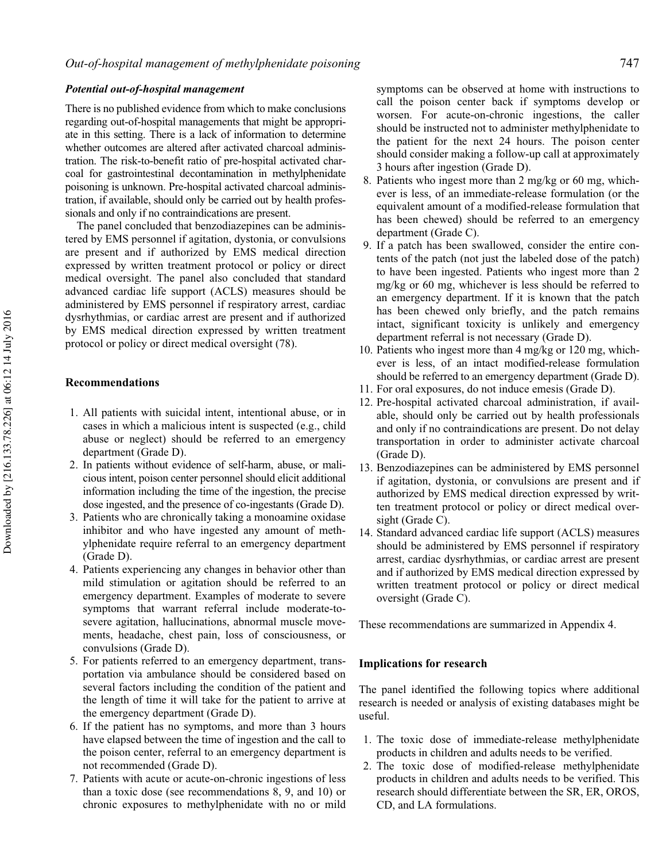### *Potential out-of-hospital management*

There is no published evidence from which to make conclusions regarding out-of-hospital managements that might be appropriate in this setting. There is a lack of information to determine whether outcomes are altered after activated charcoal administration. The risk-to-benefit ratio of pre-hospital activated charcoal for gastrointestinal decontamination in methylphenidate poisoning is unknown. Pre-hospital activated charcoal administration, if available, should only be carried out by health professionals and only if no contraindications are present.

The panel concluded that benzodiazepines can be administered by EMS personnel if agitation, dystonia, or convulsions are present and if authorized by EMS medical direction expressed by written treatment protocol or policy or direct medical oversight. The panel also concluded that standard advanced cardiac life support (ACLS) measures should be administered by EMS personnel if respiratory arrest, cardiac dysrhythmias, or cardiac arrest are present and if authorized by EMS medical direction expressed by written treatment protocol or policy or direct medical oversight (78).

# **Recommendations**

- 1. All patients with suicidal intent, intentional abuse, or in cases in which a malicious intent is suspected (e.g., child abuse or neglect) should be referred to an emergency department (Grade D).
- 2. In patients without evidence of self-harm, abuse, or malicious intent, poison center personnel should elicit additional information including the time of the ingestion, the precise dose ingested, and the presence of co-ingestants (Grade D).
- 3. Patients who are chronically taking a monoamine oxidase inhibitor and who have ingested any amount of methylphenidate require referral to an emergency department (Grade D).
- 4. Patients experiencing any changes in behavior other than mild stimulation or agitation should be referred to an emergency department. Examples of moderate to severe symptoms that warrant referral include moderate-tosevere agitation, hallucinations, abnormal muscle movements, headache, chest pain, loss of consciousness, or convulsions (Grade D).
- 5. For patients referred to an emergency department, transportation via ambulance should be considered based on several factors including the condition of the patient and the length of time it will take for the patient to arrive at the emergency department (Grade D).
- 6. If the patient has no symptoms, and more than 3 hours have elapsed between the time of ingestion and the call to the poison center, referral to an emergency department is not recommended (Grade D).
- 7. Patients with acute or acute-on-chronic ingestions of less than a toxic dose (see recommendations 8, 9, and 10) or chronic exposures to methylphenidate with no or mild

symptoms can be observed at home with instructions to call the poison center back if symptoms develop or worsen. For acute-on-chronic ingestions, the caller should be instructed not to administer methylphenidate to the patient for the next 24 hours. The poison center should consider making a follow-up call at approximately 3 hours after ingestion (Grade D).

- 8. Patients who ingest more than 2 mg/kg or 60 mg, whichever is less, of an immediate-release formulation (or the equivalent amount of a modified-release formulation that has been chewed) should be referred to an emergency department (Grade C).
- 9. If a patch has been swallowed, consider the entire contents of the patch (not just the labeled dose of the patch) to have been ingested. Patients who ingest more than 2 mg/kg or 60 mg, whichever is less should be referred to an emergency department. If it is known that the patch has been chewed only briefly, and the patch remains intact, significant toxicity is unlikely and emergency department referral is not necessary (Grade D).
- 10. Patients who ingest more than 4 mg/kg or 120 mg, whichever is less, of an intact modified-release formulation should be referred to an emergency department (Grade D).
- 11. For oral exposures, do not induce emesis (Grade D).
- 12. Pre-hospital activated charcoal administration, if available, should only be carried out by health professionals and only if no contraindications are present. Do not delay transportation in order to administer activate charcoal (Grade D).
- 13. Benzodiazepines can be administered by EMS personnel if agitation, dystonia, or convulsions are present and if authorized by EMS medical direction expressed by written treatment protocol or policy or direct medical oversight (Grade C).
- 14. Standard advanced cardiac life support (ACLS) measures should be administered by EMS personnel if respiratory arrest, cardiac dysrhythmias, or cardiac arrest are present and if authorized by EMS medical direction expressed by written treatment protocol or policy or direct medical oversight (Grade C).

These recommendations are summarized in Appendix 4.

# **Implications for research**

The panel identified the following topics where additional research is needed or analysis of existing databases might be useful.

- 1. The toxic dose of immediate-release methylphenidate products in children and adults needs to be verified.
- 2. The toxic dose of modified-release methylphenidate products in children and adults needs to be verified. This research should differentiate between the SR, ER, OROS, CD, and LA formulations.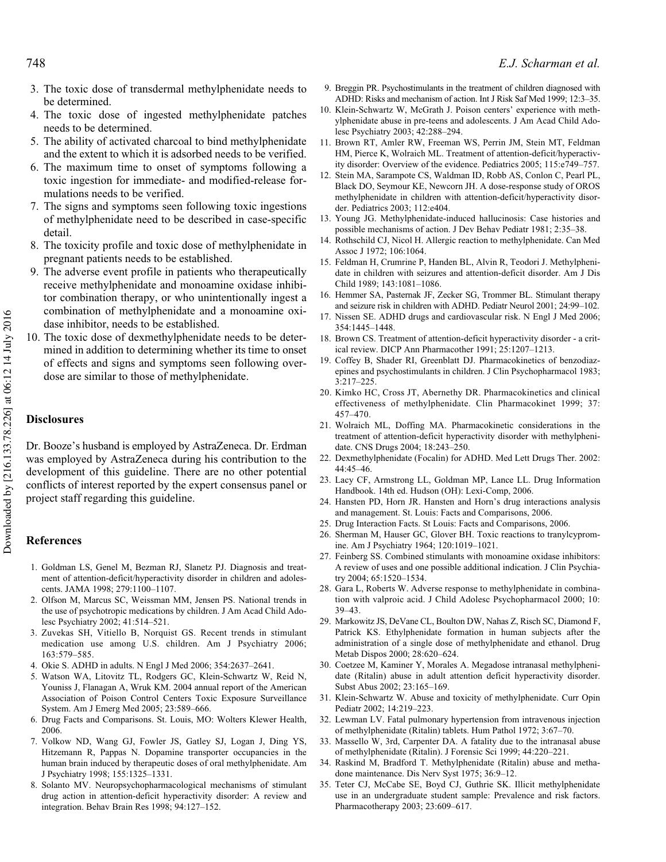- 3. The toxic dose of transdermal methylphenidate needs to be determined.
- 4. The toxic dose of ingested methylphenidate patches needs to be determined.
- 5. The ability of activated charcoal to bind methylphenidate and the extent to which it is adsorbed needs to be verified.
- 6. The maximum time to onset of symptoms following a toxic ingestion for immediate- and modified-release formulations needs to be verified.
- 7. The signs and symptoms seen following toxic ingestions of methylphenidate need to be described in case-specific detail.
- 8. The toxicity profile and toxic dose of methylphenidate in pregnant patients needs to be established.
- 9. The adverse event profile in patients who therapeutically receive methylphenidate and monoamine oxidase inhibitor combination therapy, or who unintentionally ingest a combination of methylphenidate and a monoamine oxidase inhibitor, needs to be established.
- 10. The toxic dose of dexmethylphenidate needs to be determined in addition to determining whether its time to onset of effects and signs and symptoms seen following overdose are similar to those of methylphenidate.

# **Disclosures**

Dr. Booze's husband is employed by AstraZeneca. Dr. Erdman was employed by AstraZeneca during his contribution to the development of this guideline. There are no other potential conflicts of interest reported by the expert consensus panel or project staff regarding this guideline.

### **References**

- 1. Goldman LS, Genel M, Bezman RJ, Slanetz PJ. Diagnosis and treatment of attention-deficit/hyperactivity disorder in children and adolescents. JAMA 1998; 279:1100–1107.
- 2. Olfson M, Marcus SC, Weissman MM, Jensen PS. National trends in the use of psychotropic medications by children. J Am Acad Child Adolesc Psychiatry 2002; 41:514–521.
- 3. Zuvekas SH, Vitiello B, Norquist GS. Recent trends in stimulant medication use among U.S. children. Am J Psychiatry 2006; 163:579–585.
- 4. Okie S. ADHD in adults. N Engl J Med 2006; 354:2637–2641.
- 5. Watson WA, Litovitz TL, Rodgers GC, Klein-Schwartz W, Reid N, Youniss J, Flanagan A, Wruk KM. 2004 annual report of the American Association of Poison Control Centers Toxic Exposure Surveillance System. Am J Emerg Med 2005; 23:589–666.
- 6. Drug Facts and Comparisons. St. Louis, MO: Wolters Klewer Health, 2006.
- 7. Volkow ND, Wang GJ, Fowler JS, Gatley SJ, Logan J, Ding YS, Hitzemann R, Pappas N. Dopamine transporter occupancies in the human brain induced by therapeutic doses of oral methylphenidate. Am J Psychiatry 1998; 155:1325–1331.
- 8. Solanto MV. Neuropsychopharmacological mechanisms of stimulant drug action in attention-deficit hyperactivity disorder: A review and integration. Behav Brain Res 1998; 94:127–152.
- 9. Breggin PR. Psychostimulants in the treatment of children diagnosed with ADHD: Risks and mechanism of action. Int J Risk Saf Med 1999; 12:3–35.
- 10. Klein-Schwartz W, McGrath J. Poison centers' experience with methylphenidate abuse in pre-teens and adolescents. J Am Acad Child Adolesc Psychiatry 2003; 42:288–294.
- 11. Brown RT, Amler RW, Freeman WS, Perrin JM, Stein MT, Feldman HM, Pierce K, Wolraich ML. Treatment of attention-deficit/hyperactivity disorder: Overview of the evidence. Pediatrics 2005; 115:e749–757.
- 12. Stein MA, Sarampote CS, Waldman ID, Robb AS, Conlon C, Pearl PL, Black DO, Seymour KE, Newcorn JH. A dose-response study of OROS methylphenidate in children with attention-deficit/hyperactivity disorder. Pediatrics 2003; 112:e404.
- 13. Young JG. Methylphenidate-induced hallucinosis: Case histories and possible mechanisms of action. J Dev Behav Pediatr 1981; 2:35–38.
- 14. Rothschild CJ, Nicol H. Allergic reaction to methylphenidate. Can Med Assoc J 1972; 106:1064.
- 15. Feldman H, Crumrine P, Handen BL, Alvin R, Teodori J. Methylphenidate in children with seizures and attention-deficit disorder. Am J Dis Child 1989; 143:1081–1086.
- 16. Hemmer SA, Pasternak JF, Zecker SG, Trommer BL. Stimulant therapy and seizure risk in children with ADHD. Pediatr Neurol 2001; 24:99–102.
- 17. Nissen SE. ADHD drugs and cardiovascular risk. N Engl J Med 2006; 354:1445–1448.
- 18. Brown CS. Treatment of attention-deficit hyperactivity disorder a critical review. DICP Ann Pharmacother 1991; 25:1207–1213.
- 19. Coffey B, Shader RI, Greenblatt DJ. Pharmacokinetics of benzodiazepines and psychostimulants in children. J Clin Psychopharmacol 1983; 3:217–225.
- 20. Kimko HC, Cross JT, Abernethy DR. Pharmacokinetics and clinical effectiveness of methylphenidate. Clin Pharmacokinet 1999; 37: 457–470.
- 21. Wolraich ML, Doffing MA. Pharmacokinetic considerations in the treatment of attention-deficit hyperactivity disorder with methylphenidate. CNS Drugs 2004; 18:243–250.
- 22. Dexmethylphenidate (Focalin) for ADHD. Med Lett Drugs Ther. 2002: 44:45–46.
- 23. Lacy CF, Armstrong LL, Goldman MP, Lance LL. Drug Information Handbook. 14th ed. Hudson (OH): Lexi-Comp, 2006.
- 24. Hansten PD, Horn JR. Hansten and Horn's drug interactions analysis and management. St. Louis: Facts and Comparisons, 2006.
- 25. Drug Interaction Facts. St Louis: Facts and Comparisons, 2006.
- 26. Sherman M, Hauser GC, Glover BH. Toxic reactions to tranylcypromine. Am J Psychiatry 1964; 120:1019–1021.
- 27. Feinberg SS. Combined stimulants with monoamine oxidase inhibitors: A review of uses and one possible additional indication. J Clin Psychiatry 2004; 65:1520–1534.
- 28. Gara L, Roberts W. Adverse response to methylphenidate in combination with valproic acid. J Child Adolesc Psychopharmacol 2000; 10: 39–43.
- 29. Markowitz JS, DeVane CL, Boulton DW, Nahas Z, Risch SC, Diamond F, Patrick KS. Ethylphenidate formation in human subjects after the administration of a single dose of methylphenidate and ethanol. Drug Metab Dispos 2000; 28:620–624.
- 30. Coetzee M, Kaminer Y, Morales A. Megadose intranasal methylphenidate (Ritalin) abuse in adult attention deficit hyperactivity disorder. Subst Abus 2002; 23:165–169.
- 31. Klein-Schwartz W. Abuse and toxicity of methylphenidate. Curr Opin Pediatr 2002; 14:219–223.
- 32. Lewman LV. Fatal pulmonary hypertension from intravenous injection of methylphenidate (Ritalin) tablets. Hum Pathol 1972; 3:67–70.
- 33. Massello W, 3rd, Carpenter DA. A fatality due to the intranasal abuse of methylphenidate (Ritalin). J Forensic Sci 1999; 44:220–221.
- 34. Raskind M, Bradford T. Methylphenidate (Ritalin) abuse and methadone maintenance. Dis Nerv Syst 1975; 36:9–12.
- 35. Teter CJ, McCabe SE, Boyd CJ, Guthrie SK. Illicit methylphenidate use in an undergraduate student sample: Prevalence and risk factors. Pharmacotherapy 2003; 23:609–617.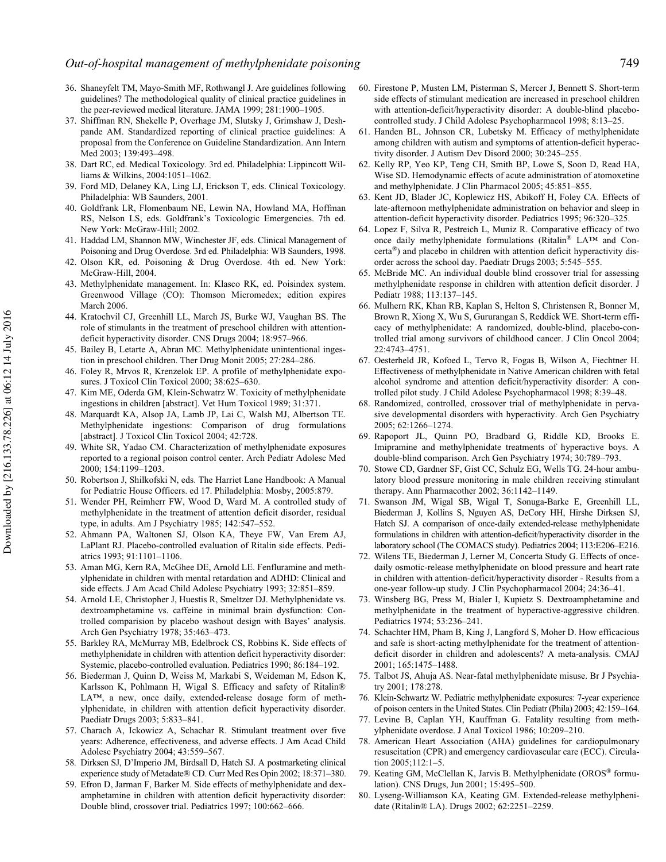- 36. Shaneyfelt TM, Mayo-Smith MF, Rothwangl J. Are guidelines following guidelines? The methodological quality of clinical practice guidelines in the peer-reviewed medical literature. JAMA 1999; 281:1900–1905.
- 37. Shiffman RN, Shekelle P, Overhage JM, Slutsky J, Grimshaw J, Deshpande AM. Standardized reporting of clinical practice guidelines: A proposal from the Conference on Guideline Standardization. Ann Intern Med 2003; 139:493–498.
- 38. Dart RC, ed. Medical Toxicology. 3rd ed. Philadelphia: Lippincott Williams & Wilkins, 2004:1051–1062.
- 39. Ford MD, Delaney KA, Ling LJ, Erickson T, eds. Clinical Toxicology. Philadelphia: WB Saunders, 2001.
- 40. Goldfrank LR, Flomenbaum NE, Lewin NA, Howland MA, Hoffman RS, Nelson LS, eds. Goldfrank's Toxicologic Emergencies. 7th ed. New York: McGraw-Hill; 2002.
- 41. Haddad LM, Shannon MW, Winchester JF, eds. Clinical Management of Poisoning and Drug Overdose. 3rd ed. Philadelphia: WB Saunders, 1998.
- 42. Olson KR, ed. Poisoning & Drug Overdose. 4th ed. New York: McGraw-Hill, 2004.
- 43. Methylphenidate management. In: Klasco RK, ed. Poisindex system. Greenwood Village (CO): Thomson Micromedex; edition expires March 2006.
- 44. Kratochvil CJ, Greenhill LL, March JS, Burke WJ, Vaughan BS. The role of stimulants in the treatment of preschool children with attentiondeficit hyperactivity disorder. CNS Drugs 2004; 18:957–966.
- 45. Bailey B, Letarte A, Abran MC. Methylphenidate unintentional ingestion in preschool children. Ther Drug Monit 2005; 27:284–286.
- 46. Foley R, Mrvos R, Krenzelok EP. A profile of methylphenidate exposures. J Toxicol Clin Toxicol 2000; 38:625–630.
- 47. Kim ME, Oderda GM, Klein-Schwatrz W. Toxicity of methylphenidate ingestions in children [abstract]. Vet Hum Toxicol 1989; 31:371.
- 48. Marquardt KA, Alsop JA, Lamb JP, Lai C, Walsh MJ, Albertson TE. Methylphenidate ingestions: Comparison of drug formulations [abstract]. J Toxicol Clin Toxicol 2004; 42:728.
- 49. White SR, Yadao CM. Characterization of methylphenidate exposures reported to a regional poison control center. Arch Pediatr Adolesc Med 2000; 154:1199–1203.
- 50. Robertson J, Shilkofski N, eds. The Harriet Lane Handbook: A Manual for Pediatric House Officers. ed 17. Philadelphia: Mosby, 2005:879.
- 51. Wender PH, Reimherr FW, Wood D, Ward M. A controlled study of methylphenidate in the treatment of attention deficit disorder, residual type, in adults. Am J Psychiatry 1985; 142:547–552.
- 52. Ahmann PA, Waltonen SJ, Olson KA, Theye FW, Van Erem AJ, LaPlant RJ. Placebo-controlled evaluation of Ritalin side effects. Pediatrics 1993; 91:1101–1106.
- 53. Aman MG, Kern RA, McGhee DE, Arnold LE. Fenfluramine and methylphenidate in children with mental retardation and ADHD: Clinical and side effects. J Am Acad Child Adolesc Psychiatry 1993; 32:851–859.
- 54. Arnold LE, Christopher J, Huestis R, Smeltzer DJ. Methylphenidate vs. dextroamphetamine vs. caffeine in minimal brain dysfunction: Controlled comparision by placebo washout design with Bayes' analysis. Arch Gen Psychiatry 1978; 35:463–473.
- 55. Barkley RA, McMurray MB, Edelbrock CS, Robbins K. Side effects of methylphenidate in children with attention deficit hyperactivity disorder: Systemic, placebo-controlled evaluation. Pediatrics 1990; 86:184–192.
- 56. Biederman J, Quinn D, Weiss M, Markabi S, Weideman M, Edson K, Karlsson K, Pohlmann H, Wigal S. Efficacy and safety of Ritalin® LA™, a new, once daily, extended-release dosage form of methylphenidate, in children with attention deficit hyperactivity disorder. Paediatr Drugs 2003; 5:833–841.
- 57. Charach A, Ickowicz A, Schachar R. Stimulant treatment over five years: Adherence, effectiveness, and adverse effects. J Am Acad Child Adolesc Psychiatry 2004; 43:559–567.
- 58. Dirksen SJ, D'Imperio JM, Birdsall D, Hatch SJ. A postmarketing clinical experience study of Metadate® CD. Curr Med Res Opin 2002; 18:371–380.
- 59. Efron D, Jarman F, Barker M. Side effects of methylphenidate and dexamphetamine in children with attention deficit hyperactivity disorder: Double blind, crossover trial. Pediatrics 1997; 100:662–666.
- 60. Firestone P, Musten LM, Pisterman S, Mercer J, Bennett S. Short-term side effects of stimulant medication are increased in preschool children with attention-deficit/hyperactivity disorder: A double-blind placebocontrolled study. J Child Adolesc Psychopharmacol 1998; 8:13–25.
- 61. Handen BL, Johnson CR, Lubetsky M. Efficacy of methylphenidate among children with autism and symptoms of attention-deficit hyperactivity disorder. J Autism Dev Disord 2000; 30:245–255.
- 62. Kelly RP, Yeo KP, Teng CH, Smith BP, Lowe S, Soon D, Read HA, Wise SD. Hemodynamic effects of acute administration of atomoxetine and methylphenidate. J Clin Pharmacol 2005; 45:851–855.
- 63. Kent JD, Blader JC, Koplewicz HS, Abikoff H, Foley CA. Effects of late-afternoon methylphenidate administration on behavior and sleep in attention-deficit hyperactivity disorder. Pediatrics 1995; 96:320–325.
- 64. Lopez F, Silva R, Pestreich L, Muniz R. Comparative efficacy of two once daily methylphenidate formulations (Ritalin® LA™ and Concerta®) and placebo in children with attention deficit hyperactivity disorder across the school day. Paediatr Drugs 2003; 5:545–555.
- 65. McBride MC. An individual double blind crossover trial for assessing methylphenidate response in children with attention deficit disorder. J Pediatr 1988; 113:137–145.
- 66. Mulhern RK, Khan RB, Kaplan S, Helton S, Christensen R, Bonner M, Brown R, Xiong X, Wu S, Gururangan S, Reddick WE. Short-term efficacy of methylphenidate: A randomized, double-blind, placebo-controlled trial among survivors of childhood cancer. J Clin Oncol 2004; 22:4743–4751.
- 67. Oesterheld JR, Kofoed L, Tervo R, Fogas B, Wilson A, Fiechtner H. Effectiveness of methylphenidate in Native American children with fetal alcohol syndrome and attention deficit/hyperactivity disorder: A controlled pilot study. J Child Adolesc Psychopharmacol 1998; 8:39–48.
- 68. Randomized, controlled, crossover trial of methylphenidate in pervasive developmental disorders with hyperactivity. Arch Gen Psychiatry 2005; 62:1266–1274.
- 69. Rapoport JL, Quinn PO, Bradbard G, Riddle KD, Brooks E. Imipramine and methylphenidate treatments of hyperactive boys. A double-blind comparison. Arch Gen Psychiatry 1974; 30:789–793.
- 70. Stowe CD, Gardner SF, Gist CC, Schulz EG, Wells TG. 24-hour ambulatory blood pressure monitoring in male children receiving stimulant therapy. Ann Pharmacother 2002; 36:1142–1149.
- 71. Swanson JM, Wigal SB, Wigal T, Sonuga-Barke E, Greenhill LL, Biederman J, Kollins S, Nguyen AS, DeCory HH, Hirshe Dirksen SJ, Hatch SJ. A comparison of once-daily extended-release methylphenidate formulations in children with attention-deficit/hyperactivity disorder in the laboratory school (The COMACS study). Pediatrics 2004; 113:E206–E216.
- 72. Wilens TE, Biederman J, Lerner M, Concerta Study G. Effects of oncedaily osmotic-release methylphenidate on blood pressure and heart rate in children with attention-deficit/hyperactivity disorder - Results from a one-year follow-up study. J Clin Psychopharmacol 2004; 24:36–41.
- 73. Winsberg BG, Press M, Bialer I, Kupietz S. Dextroamphetamine and methylphenidate in the treatment of hyperactive-aggressive children. Pediatrics 1974; 53:236–241.
- 74. Schachter HM, Pham B, King J, Langford S, Moher D. How efficacious and safe is short-acting methylphenidate for the treatment of attentiondeficit disorder in children and adolescents? A meta-analysis. CMAJ 2001; 165:1475–1488.
- 75. Talbot JS, Ahuja AS. Near-fatal methylphenidate misuse. Br J Psychiatry 2001; 178:278.
- 76. Klein-Schwartz W. Pediatric methylphenidate exposures: 7-year experience of poison centers in the United States. Clin Pediatr (Phila) 2003; 42:159–164.
- 77. Levine B, Caplan YH, Kauffman G. Fatality resulting from methylphenidate overdose. J Anal Toxicol 1986; 10:209–210.
- 78. American Heart Association (AHA) guidelines for cardiopulmonary resuscitation (CPR) and emergency cardiovascular care (ECC). Circulation 2005;112:1–5.
- 79. Keating GM, McClellan K, Jarvis B. Methylphenidate (OROS® formulation). CNS Drugs, Jun 2001; 15:495–500.
- 80. Lyseng-Williamson KA, Keating GM. Extended-release methylphenidate (Ritalin® LA). Drugs 2002; 62:2251–2259.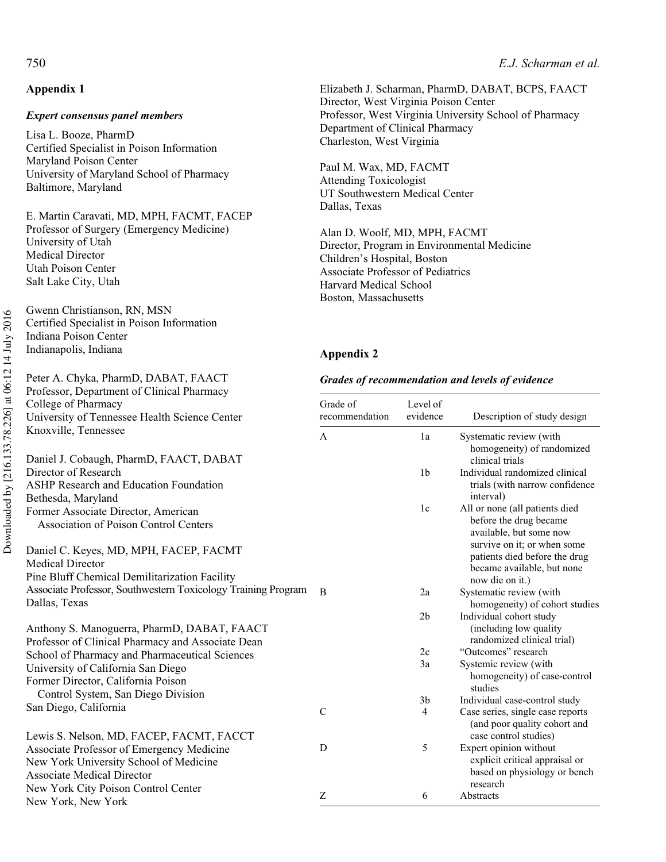Elizabeth J. Scharman, PharmD, DABAT, BCPS, FAACT Director, West Virginia Poison Center Professor, West Virginia University School of Pharmacy Department of Clinical Pharmacy Charleston, West Virginia

Paul M. Wax, MD, FACMT Attending Toxicologist UT Southwestern Medical Center Dallas, Texas

Alan D. Woolf, MD, MPH, FACMT Director, Program in Environmental Medicine Children's Hospital, Boston Associate Professor of Pediatrics Harvard Medical School Boston, Massachusetts

# **Appendix 2**

# *Grades of recommendation and levels of evidence*

| College of Pharmacy                                             | Grade of       | Level of       |                                                                                  |
|-----------------------------------------------------------------|----------------|----------------|----------------------------------------------------------------------------------|
| University of Tennessee Health Science Center                   | recommendation | evidence       | Description of study design                                                      |
| Knoxville, Tennessee                                            | $\mathbf{A}$   | 1a             | Systematic review (with<br>homogeneity) of randomized                            |
| Daniel J. Cobaugh, PharmD, FAACT, DABAT<br>Director of Research |                |                | clinical trials                                                                  |
| <b>ASHP Research and Education Foundation</b>                   |                | 1 <sub>b</sub> | Individual randomized clinical<br>trials (with narrow confidence                 |
| Bethesda, Maryland                                              |                |                | interval)                                                                        |
| Former Associate Director, American                             |                | 1c             | All or none (all patients died                                                   |
| <b>Association of Poison Control Centers</b>                    |                |                | before the drug became<br>available, but some now<br>survive on it; or when some |
| Daniel C. Keyes, MD, MPH, FACEP, FACMT                          |                |                | patients died before the drug                                                    |
| <b>Medical Director</b>                                         |                |                | became available, but none                                                       |
| Pine Bluff Chemical Demilitarization Facility                   |                |                | now die on it.)                                                                  |
| Associate Professor, Southwestern Toxicology Training Program   | <sub>B</sub>   | 2a             | Systematic review (with                                                          |
| Dallas, Texas                                                   |                |                | homogeneity) of cohort studies                                                   |
|                                                                 |                | 2 <sub>b</sub> | Individual cohort study                                                          |
| Anthony S. Manoguerra, PharmD, DABAT, FAACT                     |                |                | (including low quality                                                           |
| Professor of Clinical Pharmacy and Associate Dean               |                |                | randomized clinical trial)                                                       |
| School of Pharmacy and Pharmaceutical Sciences                  |                | 2c             | "Outcomes" research                                                              |
| University of California San Diego                              |                | 3a             | Systemic review (with                                                            |
| Former Director, California Poison                              |                |                | homogeneity) of case-control<br>studies                                          |
| Control System, San Diego Division                              |                | 3 <sub>b</sub> | Individual case-control study                                                    |
| San Diego, California                                           | $\mathcal{C}$  | 4              | Case series, single case reports<br>(and poor quality cohort and                 |
| Lewis S. Nelson, MD, FACEP, FACMT, FACCT                        |                |                | case control studies)                                                            |
| Associate Professor of Emergency Medicine                       | D              | 5              | Expert opinion without                                                           |
| New York University School of Medicine                          |                |                | explicit critical appraisal or                                                   |
| <b>Associate Medical Director</b>                               |                |                | based on physiology or bench                                                     |
| New York City Poison Control Center                             |                |                | research                                                                         |
| New York, New York                                              | Z              | 6              | Abstracts                                                                        |

Downloaded by [216.133.78.226] at 06:12 14 July 2016 Downloaded by [216.133.78.226] at 06:12 14 July 2016

# **Appendix 1**

## *Expert consensus panel members*

Lisa L. Booze, PharmD Certified Specialist in Poison Information Maryland Poison Center University of Maryland School of Pharmacy Baltimore, Maryland

E. Martin Caravati, MD, MPH, FACMT, FACEP Professor of Surgery (Emergency Medicine) University of Utah Medical Director Utah Poison Center Salt Lake City, Utah

Gwenn Christianson, RN, MSN Certified Specialist in Poison Information Indiana Poison Center Indianapolis, Indiana

Peter A. Chyka, PharmD, DABAT, FAACT Professor, Department of Clinical Pharmacy College of University Knoxville,

| Daniel C. Keyes, MD, MPH, FACEP, FACMT<br><b>Medical Director</b><br>Pine Bluff Chemical Demilitarization Facility<br>Associate Professor, Southwestern Toxicology Training Program<br>Dallas, Texas                                                                 | R |
|----------------------------------------------------------------------------------------------------------------------------------------------------------------------------------------------------------------------------------------------------------------------|---|
| Anthony S. Manoguerra, PharmD, DABAT, FAACT<br>Professor of Clinical Pharmacy and Associate Dean<br>School of Pharmacy and Pharmaceutical Sciences<br>University of California San Diego<br>Former Director, California Poison<br>Control System, San Diego Division |   |
| San Diego, California                                                                                                                                                                                                                                                | C |
| Lewis S. Nelson, MD, FACEP, FACMT, FACCT<br>Associate Professor of Emergency Medicine                                                                                                                                                                                | D |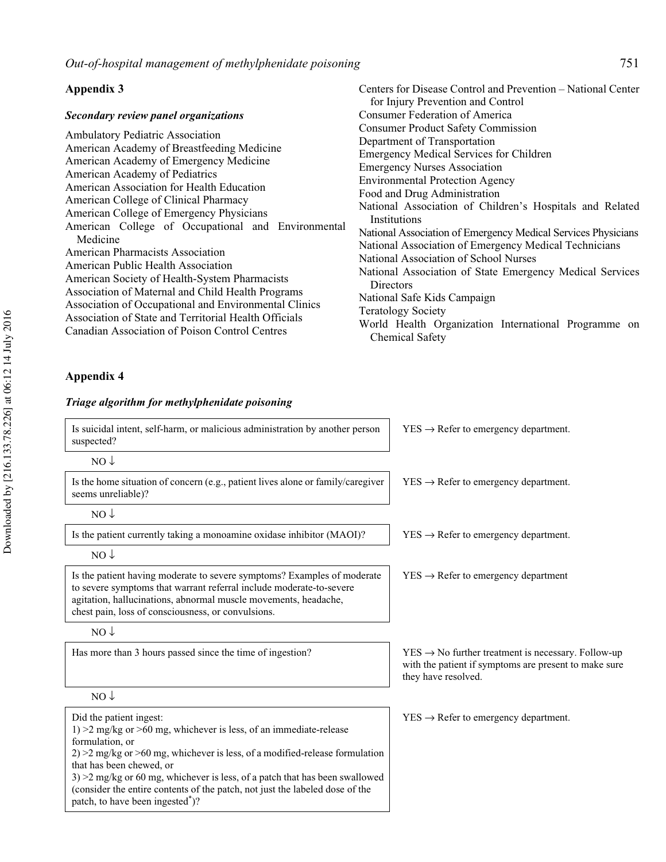# **Appendix 3**

# *Secondary review panel organizations*

| <b>Secondary review panel organizations</b>                                                                                                                                                                                                                                                                                                                                                                                                                                                                                                                                                                                                                                                                                             | <b>Consumer Federation of America</b>                                                                                                                                                                                                                                                                                                                                                                                                                                                                                                                                                                                                                                                                                     |
|-----------------------------------------------------------------------------------------------------------------------------------------------------------------------------------------------------------------------------------------------------------------------------------------------------------------------------------------------------------------------------------------------------------------------------------------------------------------------------------------------------------------------------------------------------------------------------------------------------------------------------------------------------------------------------------------------------------------------------------------|---------------------------------------------------------------------------------------------------------------------------------------------------------------------------------------------------------------------------------------------------------------------------------------------------------------------------------------------------------------------------------------------------------------------------------------------------------------------------------------------------------------------------------------------------------------------------------------------------------------------------------------------------------------------------------------------------------------------------|
| <b>Ambulatory Pediatric Association</b><br>American Academy of Breastfeeding Medicine<br>American Academy of Emergency Medicine<br><b>American Academy of Pediatrics</b><br>American Association for Health Education<br>American College of Clinical Pharmacy<br>American College of Emergency Physicians<br>American College of Occupational and Environmental<br>Medicine<br><b>American Pharmacists Association</b><br>American Public Health Association<br>American Society of Health-System Pharmacists<br>Association of Maternal and Child Health Programs<br>Association of Occupational and Environmental Clinics<br>Association of State and Territorial Health Officials<br>Canadian Association of Poison Control Centres | <b>Consumer Product Safety Commission</b><br>Department of Transportation<br><b>Emergency Medical Services for Children</b><br><b>Emergency Nurses Association</b><br><b>Environmental Protection Agency</b><br>Food and Drug Administration<br>National Association of Children's Hospitals and Related<br>Institutions<br>National Association of Emergency Medical Services Physicians<br>National Association of Emergency Medical Technicians<br>National Association of School Nurses<br>National Association of State Emergency Medical Services<br><b>Directors</b><br>National Safe Kids Campaign<br><b>Teratology Society</b><br>World Health Organization International Programme on<br><b>Chemical Safety</b> |

# **Appendix 4**

# *Triage algorithm for methylphenidate poisoning*

| $YES \rightarrow Refer$ to emergency department.                                                                                               |
|------------------------------------------------------------------------------------------------------------------------------------------------|
|                                                                                                                                                |
| $YES \rightarrow Refer$ to emergency department.                                                                                               |
|                                                                                                                                                |
| $YES \rightarrow Refer$ to emergency department.                                                                                               |
|                                                                                                                                                |
| $YES \rightarrow Refer$ to emergency department                                                                                                |
|                                                                                                                                                |
| $YES \rightarrow No$ further treatment is necessary. Follow-up<br>with the patient if symptoms are present to make sure<br>they have resolved. |
|                                                                                                                                                |
| $YES \rightarrow Refer$ to emergency department.                                                                                               |
|                                                                                                                                                |

Centers for Disease Control and Prevention – National Center

for Injury Prevention and Control